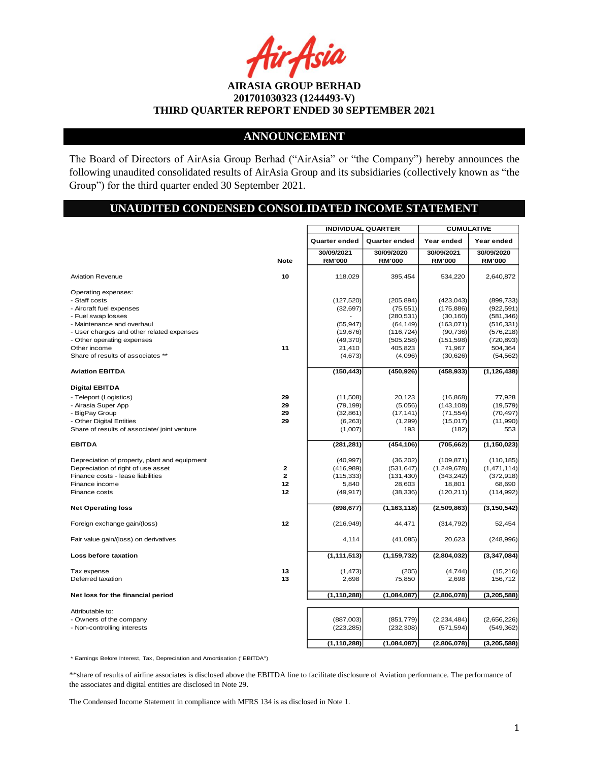Asia

## **ANNOUNCEMENT**

The Board of Directors of AirAsia Group Berhad ("AirAsia" or "the Company") hereby announces the following unaudited consolidated results of AirAsia Group and its subsidiaries (collectively known as "the Group") for the third quarter ended 30 September 2021.

# **UNAUDITED CONDENSED CONSOLIDATED INCOME STATEMENT**

|                                               |              | <b>INDIVIDUAL QUARTER</b>   |                             | <b>CUMULATIVE</b>           |                             |
|-----------------------------------------------|--------------|-----------------------------|-----------------------------|-----------------------------|-----------------------------|
|                                               |              | Quarter ended               | Quarter ended               | Year ended                  | Year ended                  |
|                                               | <b>Note</b>  | 30/09/2021<br><b>RM'000</b> | 30/09/2020<br><b>RM'000</b> | 30/09/2021<br><b>RM'000</b> | 30/09/2020<br><b>RM'000</b> |
| <b>Aviation Revenue</b>                       | 10           | 118,029                     | 395,454                     | 534,220                     | 2,640,872                   |
| Operating expenses:                           |              |                             |                             |                             |                             |
| - Staff costs                                 |              | (127, 520)                  | (205, 894)                  | (423, 043)                  | (899, 733)                  |
| - Aircraft fuel expenses                      |              | (32, 697)                   | (75, 551)                   | (175, 886)                  | (922, 591)                  |
| - Fuel swap losses                            |              |                             | (280, 531)                  | (30, 160)                   | (581, 346)                  |
| - Maintenance and overhaul                    |              | (55, 947)                   | (64, 149)                   | (163, 071)                  | (516, 331)                  |
| - User charges and other related expenses     |              | (19, 676)                   | (116, 724)                  | (90, 736)                   | (576, 218)                  |
| - Other operating expenses                    |              | (49,370)                    | (505, 258)                  | (151, 598)                  | (720, 893)                  |
| Other income                                  | 11           | 21,410                      | 405,823                     | 71,967                      | 504,364                     |
| Share of results of associates **             |              | (4,673)                     | (4,096)                     | (30, 626)                   | (54, 562)                   |
| <b>Aviation EBITDA</b>                        |              | (150, 443)                  | (450, 926)                  | (458, 933)                  | (1, 126, 438)               |
| <b>Digital EBITDA</b>                         |              |                             |                             |                             |                             |
| - Teleport (Logistics)                        | 29           | (11,508)                    | 20,123                      | (16, 868)                   | 77,928                      |
| - Airasia Super App                           | 29           | (79, 199)                   | (5,056)                     | (143, 108)                  | (19, 579)                   |
| - BigPay Group                                | 29           | (32, 861)                   | (17, 141)                   | (71, 554)                   | (70, 497)                   |
| - Other Digital Entities                      | 29           | (6, 263)                    | (1,299)                     | (15,017)                    | (11,990)                    |
| Share of results of associate/ joint venture  |              | (1,007)                     | 193                         | (182)                       | 553                         |
| <b>EBITDA</b>                                 |              | (281, 281)                  | (454, 106)                  | (705, 662)                  | (1, 150, 023)               |
| Depreciation of property, plant and equipment |              | (40, 997)                   | (36, 202)                   | (109, 871)                  | (110, 185)                  |
| Depreciation of right of use asset            | 2            | (416,989)                   | (531, 647)                  | (1, 249, 678)               | (1,471,114)                 |
| Finance costs - lease liabilities             | $\mathbf{z}$ | (115, 333)                  | (131, 430)                  | (343, 242)                  | (372, 918)                  |
| Finance income                                | 12           | 5,840                       | 28,603                      | 18,801                      | 68,690                      |
| Finance costs                                 | 12           | (49, 917)                   | (38, 336)                   | (120, 211)                  | (114, 992)                  |
| <b>Net Operating loss</b>                     |              | (898, 677)                  | (1, 163, 118)               | (2,509,863)                 | (3, 150, 542)               |
| Foreign exchange gain/(loss)                  | 12           | (216, 949)                  | 44,471                      | (314, 792)                  | 52,454                      |
| Fair value gain/(loss) on derivatives         |              | 4,114                       | (41,085)                    | 20,623                      | (248, 996)                  |
| Loss before taxation                          |              | (1, 111, 513)               | (1, 159, 732)               | (2,804,032)                 | (3, 347, 084)               |
| Tax expense                                   | 13           | (1, 473)                    | (205)                       | (4,744)                     | (15,216)                    |
| Deferred taxation                             | 13           | 2,698                       | 75,850                      | 2,698                       | 156,712                     |
|                                               |              |                             |                             |                             |                             |
| Net loss for the financial period             |              | (1, 110, 288)               | (1,084,087)                 | (2,806,078)                 | (3, 205, 588)               |
| Attributable to:                              |              |                             |                             |                             |                             |
| - Owners of the company                       |              | (887,003)                   | (851, 779)                  | (2, 234, 484)               | (2,656,226)                 |
| - Non-controlling interests                   |              | (223, 285)                  | (232, 308)                  | (571, 594)                  | (549, 362)                  |
|                                               |              |                             |                             |                             |                             |
|                                               |              | (1, 110, 288)               | (1,084,087)                 | (2,806,078)                 | (3, 205, 588)               |

\* Earnings Before Interest, Tax, Depreciation and Amortisation ("EBITDA")

\*\*share of results of airline associates is disclosed above the EBITDA line to facilitate disclosure of Aviation performance. The performance of the associates and digital entities are disclosed in Note 29.

The Condensed Income Statement in compliance with MFRS 134 is as disclosed in Note 1.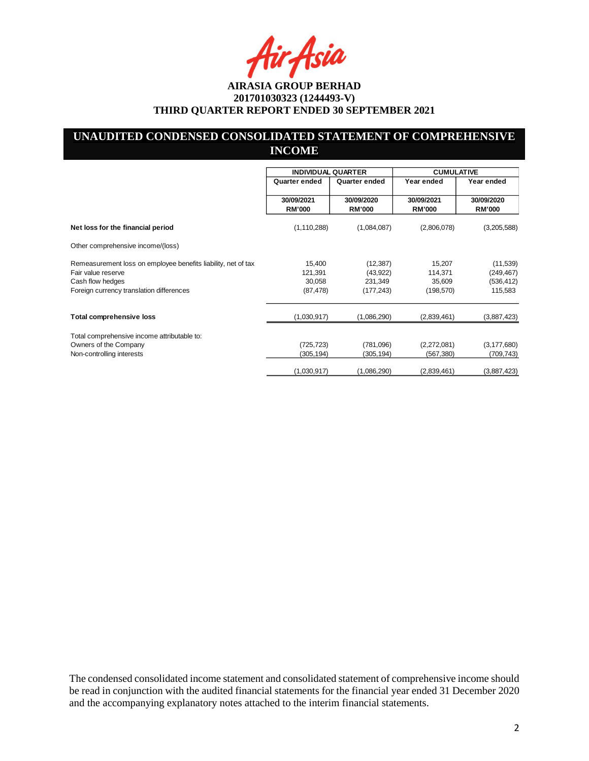Asia

# **UNAUDITED CONDENSED CONSOLIDATED STATEMENT OF COMPREHENSIVE INCOME**

|                                                                                     | <b>INDIVIDUAL QUARTER</b>   |                             | <b>CUMULATIVE</b>           |                             |
|-------------------------------------------------------------------------------------|-----------------------------|-----------------------------|-----------------------------|-----------------------------|
|                                                                                     | Quarter ended               | Quarter ended               | Year ended                  | Year ended                  |
|                                                                                     | 30/09/2021<br><b>RM'000</b> | 30/09/2020<br><b>RM'000</b> | 30/09/2021<br><b>RM'000</b> | 30/09/2020<br><b>RM'000</b> |
| Net loss for the financial period                                                   | (1, 110, 288)               | (1,084,087)                 | (2,806,078)                 | (3,205,588)                 |
| Other comprehensive income/(loss)                                                   |                             |                             |                             |                             |
| Remeasurement loss on employee benefits liability, net of tax<br>Fair value reserve | 15,400<br>121,391           | (12, 387)<br>(43, 922)      | 15,207<br>114,371           | (11, 539)<br>(249, 467)     |
| Cash flow hedges<br>Foreign currency translation differences                        | 30,058<br>(87, 478)         | 231,349<br>(177, 243)       | 35,609<br>(198, 570)        | (536, 412)<br>115,583       |
| <b>Total comprehensive loss</b>                                                     | (1,030,917)                 | (1,086,290)                 | (2,839,461)                 | (3,887,423)                 |
| Total comprehensive income attributable to:                                         |                             |                             |                             |                             |
| Owners of the Company                                                               | (725, 723)                  | (781,096)                   | (2,272,081)                 | (3, 177, 680)               |
| Non-controlling interests                                                           | (305,194)                   | (305,194)                   | (567, 380)                  | (709,743)                   |
|                                                                                     | (1,030,917)                 | (1,086,290)                 | (2,839,461)                 | (3,887,423)                 |

The condensed consolidated income statement and consolidated statement of comprehensive income should be read in conjunction with the audited financial statements for the financial year ended 31 December 2020 and the accompanying explanatory notes attached to the interim financial statements.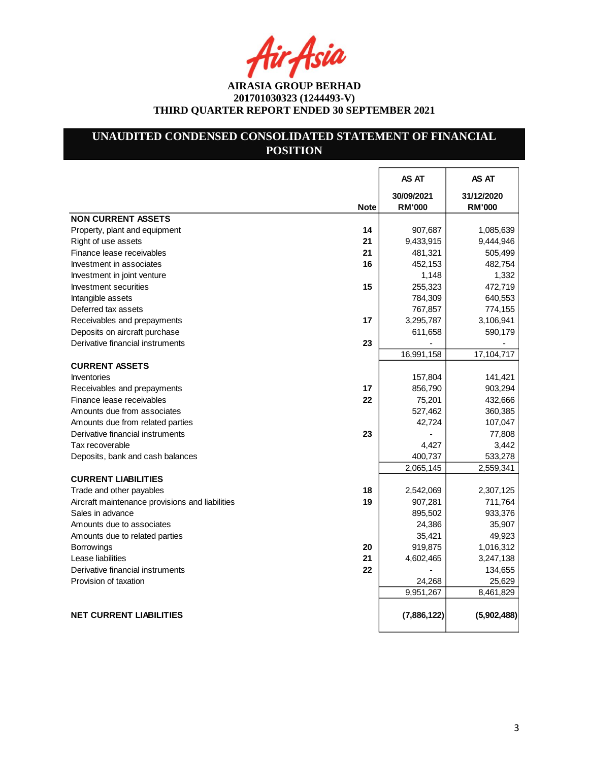4ir Asia

# **UNAUDITED CONDENSED CONSOLIDATED STATEMENT OF FINANCIAL POSITION**

|                                                 |             | AS AT         | AS AT         |
|-------------------------------------------------|-------------|---------------|---------------|
|                                                 |             | 30/09/2021    | 31/12/2020    |
|                                                 | <b>Note</b> | <b>RM'000</b> | <b>RM'000</b> |
| <b>NON CURRENT ASSETS</b>                       |             |               |               |
| Property, plant and equipment                   | 14          | 907,687       | 1,085,639     |
| Right of use assets                             | 21          | 9,433,915     | 9,444,946     |
| Finance lease receivables                       | 21          | 481,321       | 505,499       |
| Investment in associates                        | 16          | 452,153       | 482,754       |
| Investment in joint venture                     |             | 1,148         | 1,332         |
| Investment securities                           | 15          | 255,323       | 472,719       |
| Intangible assets                               |             | 784,309       | 640,553       |
| Deferred tax assets                             |             | 767,857       | 774,155       |
| Receivables and prepayments                     | 17          | 3,295,787     | 3,106,941     |
| Deposits on aircraft purchase                   |             | 611,658       | 590,179       |
| Derivative financial instruments                | 23          |               |               |
|                                                 |             | 16,991,158    | 17,104,717    |
| <b>CURRENT ASSETS</b>                           |             |               |               |
| <b>Inventories</b>                              |             | 157,804       | 141,421       |
| Receivables and prepayments                     | 17          | 856,790       | 903,294       |
| Finance lease receivables                       | 22          | 75,201        | 432,666       |
| Amounts due from associates                     |             | 527,462       | 360,385       |
| Amounts due from related parties                |             | 42,724        | 107,047       |
| Derivative financial instruments                | 23          |               | 77,808        |
| Tax recoverable                                 |             | 4,427         | 3,442         |
| Deposits, bank and cash balances                |             | 400,737       | 533,278       |
|                                                 |             | 2,065,145     | 2,559,341     |
| <b>CURRENT LIABILITIES</b>                      |             |               |               |
| Trade and other payables                        | 18          | 2,542,069     | 2,307,125     |
| Aircraft maintenance provisions and liabilities | 19          | 907,281       | 711,764       |
| Sales in advance                                |             | 895,502       | 933,376       |
| Amounts due to associates                       |             | 24,386        | 35,907        |
| Amounts due to related parties                  |             | 35,421        | 49,923        |
| <b>Borrowings</b>                               | 20          | 919,875       | 1,016,312     |
| Lease liabilities                               | 21          | 4,602,465     | 3,247,138     |
| Derivative financial instruments                | 22          |               | 134,655       |
| Provision of taxation                           |             | 24,268        | 25,629        |
|                                                 |             | 9,951,267     | 8,461,829     |
|                                                 |             |               |               |
| <b>NET CURRENT LIABILITIES</b>                  |             | (7,886,122)   | (5,902,488)   |
|                                                 |             |               |               |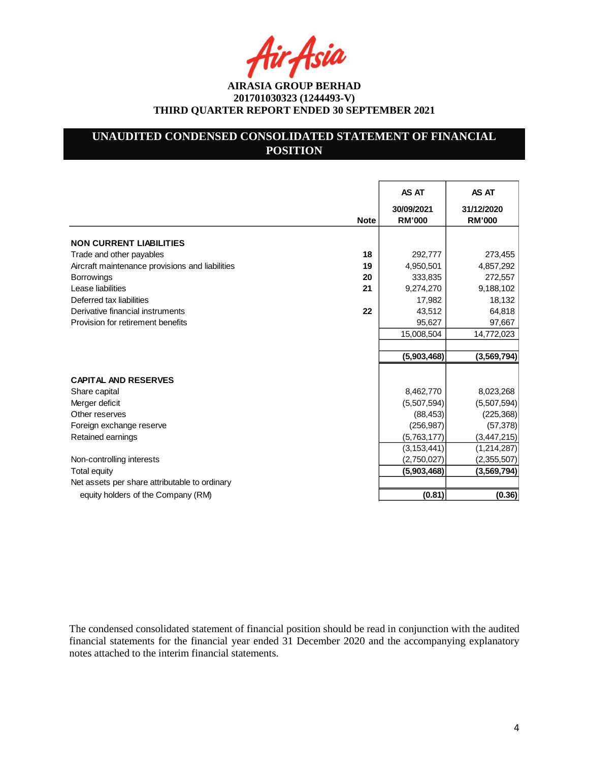ir Asia

# **UNAUDITED CONDENSED CONSOLIDATED STATEMENT OF FINANCIAL POSITION**

|                                                 |             | AS AT                       | AS AT                       |
|-------------------------------------------------|-------------|-----------------------------|-----------------------------|
|                                                 | <b>Note</b> | 30/09/2021<br><b>RM'000</b> | 31/12/2020<br><b>RM'000</b> |
| <b>NON CURRENT LIABILITIES</b>                  |             |                             |                             |
| Trade and other payables                        | 18          | 292,777                     | 273,455                     |
| Aircraft maintenance provisions and liabilities | 19          | 4,950,501                   | 4,857,292                   |
| <b>Borrowings</b>                               | 20          | 333,835                     | 272,557                     |
| Lease liabilities                               | 21          | 9,274,270                   | 9,188,102                   |
| Deferred tax liabilities                        |             | 17,982                      | 18,132                      |
| Derivative financial instruments                | 22          | 43,512                      | 64,818                      |
| Provision for retirement benefits               |             | 95,627                      | 97,667                      |
|                                                 |             | 15,008,504                  | 14,772,023                  |
|                                                 |             |                             |                             |
|                                                 |             | (5,903,468)                 | (3, 569, 794)               |
|                                                 |             |                             |                             |
| <b>CAPITAL AND RESERVES</b>                     |             |                             |                             |
| Share capital                                   |             | 8,462,770                   | 8,023,268                   |
| Merger deficit                                  |             | (5,507,594)                 | (5,507,594)                 |
| Other reserves                                  |             | (88, 453)                   | (225, 368)                  |
| Foreign exchange reserve                        |             | (256, 987)                  | (57, 378)                   |
| Retained earnings                               |             | (5,763,177)                 | (3, 447, 215)               |
|                                                 |             | (3, 153, 441)               | (1,214,287)                 |
| Non-controlling interests                       |             | (2,750,027)                 | (2,355,507)                 |
| <b>Total equity</b>                             |             | (5,903,468)                 | (3, 569, 794)               |
| Net assets per share attributable to ordinary   |             |                             |                             |
| equity holders of the Company (RM)              |             | (0.81)                      | (0.36)                      |

The condensed consolidated statement of financial position should be read in conjunction with the audited financial statements for the financial year ended 31 December 2020 and the accompanying explanatory notes attached to the interim financial statements.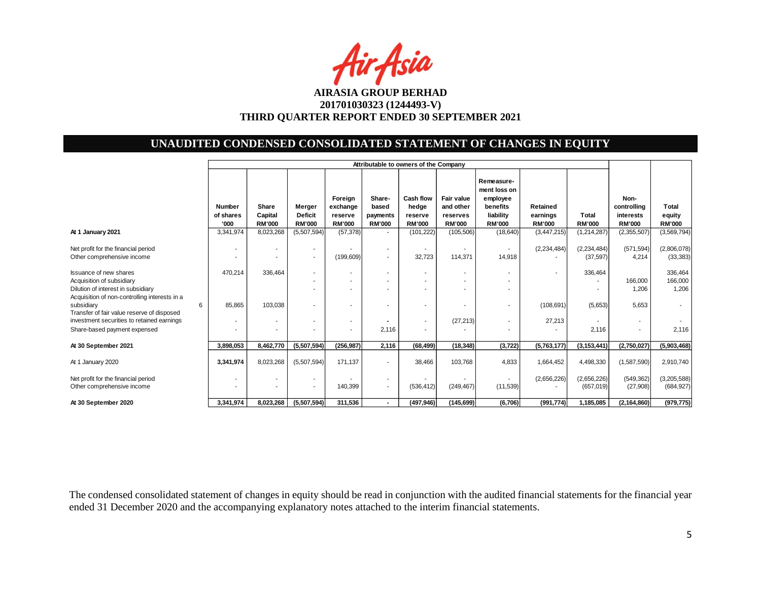Air Asia

# **UNAUDITED CONDENSED CONSOLIDATED STATEMENT OF CHANGES IN EQUITY**

|                                                                                                                | Attributable to owners of the Company |                                   |                                           |                                                 |                                              |                                                |                                                             |                                                                                  |                                         |                            |                                                   |                                  |
|----------------------------------------------------------------------------------------------------------------|---------------------------------------|-----------------------------------|-------------------------------------------|-------------------------------------------------|----------------------------------------------|------------------------------------------------|-------------------------------------------------------------|----------------------------------------------------------------------------------|-----------------------------------------|----------------------------|---------------------------------------------------|----------------------------------|
|                                                                                                                | Number<br>of shares<br>'000           | Share<br>Capital<br><b>RM'000</b> | Merger<br><b>Deficit</b><br><b>RM'000</b> | Foreign<br>exchange<br>reserve<br><b>RM'000</b> | Share-<br>based<br>payments<br><b>RM'000</b> | Cash flow<br>hedge<br>reserve<br><b>RM'000</b> | <b>Fair value</b><br>and other<br>reserves<br><b>RM'000</b> | Remeasure-<br>ment loss on<br>employee<br>benefits<br>liability<br><b>RM'000</b> | Retained<br>earnings<br><b>RM'000</b>   | Total<br><b>RM'000</b>     | Non-<br>controlling<br>interests<br><b>RM'000</b> | Total<br>equity<br><b>RM'000</b> |
| At 1 January 2021                                                                                              | 3,341,974                             | 8,023,268                         | (5,507,594)                               | (57, 378)                                       | ٠                                            | (101, 222)                                     | (105, 506)                                                  | (18, 640)                                                                        | (3,447,215)                             | (1, 214, 287)              | (2,355,507)                                       | (3, 569, 794)                    |
| Net profit for the financial period<br>Other comprehensive income                                              |                                       | ۰                                 | ٠<br>٠                                    | (199, 609)                                      | ۰.<br>٠                                      | 32,723                                         | 114,371                                                     | 14,918                                                                           | (2, 234, 484)                           | (2, 234, 484)<br>(37, 597) | (571, 594)<br>4,214                               | (2,806,078)<br>(33, 383)         |
| <b>Issuance of new shares</b><br>Acquisition of subsidiary<br>Dilution of interest in subsidiary               | 470,214                               | 336,464                           | ٠                                         |                                                 | ٠<br>٠                                       |                                                |                                                             |                                                                                  | $\sim$                                  | 336,464                    | 166,000<br>1,206                                  | 336,464<br>166,000<br>1,206      |
| Acquisition of non-controlling interests in a<br>6<br>subsidiary<br>Transfer of fair value reserve of disposed | 85,865                                | 103,038                           |                                           |                                                 |                                              |                                                |                                                             |                                                                                  | (108, 691)                              | (5,653)                    | 5,653                                             |                                  |
| investment securities to retained earnings<br>Share-based payment expensed                                     |                                       |                                   |                                           |                                                 | 2,116                                        |                                                | (27, 213)                                                   |                                                                                  | 27,213                                  | 2,116                      | $\sim$<br>$\overline{\phantom{a}}$                | 2,116                            |
| At 30 September 2021                                                                                           | 3,898,053                             | 8,462,770                         | (5,507,594)                               | (256, 987)                                      | 2,116                                        | (68, 499)                                      | (18, 348)                                                   | (3, 722)                                                                         | (5,763,177)                             | (3, 153, 441)              | (2,750,027)                                       | (5,903,468)                      |
| At 1 January 2020                                                                                              | 3,341,974                             | 8,023,268                         | (5,507,594)                               | 171,137                                         | ۰                                            | 38,466                                         | 103,768                                                     | 4,833                                                                            | 1,664,452                               | 4,498,330                  | (1,587,590)                                       | 2,910,740                        |
| Net profit for the financial period<br>Other comprehensive income                                              |                                       |                                   | ٠                                         | 140,399                                         | $\sim$                                       | (536, 412)                                     | (249, 467)                                                  | (11, 539)                                                                        | (2,656,226)<br>$\overline{\phantom{a}}$ | (2,656,226)<br>(657, 019)  | (549, 362)<br>(27,908)                            | (3,205,588)<br>(684, 927)        |
| At 30 September 2020                                                                                           | 3,341,974                             | 8,023,268                         | (5,507,594)                               | 311,536                                         | $\overline{\phantom{0}}$                     | (497, 946)                                     | (145, 699)                                                  | (6,706)                                                                          | (991, 774)                              | 1,185,085                  | (2, 164, 860)                                     | (979, 775)                       |

The condensed consolidated statement of changes in equity should be read in conjunction with the audited financial statements for the financial year ended 31 December 2020 and the accompanying explanatory notes attached to the interim financial statements.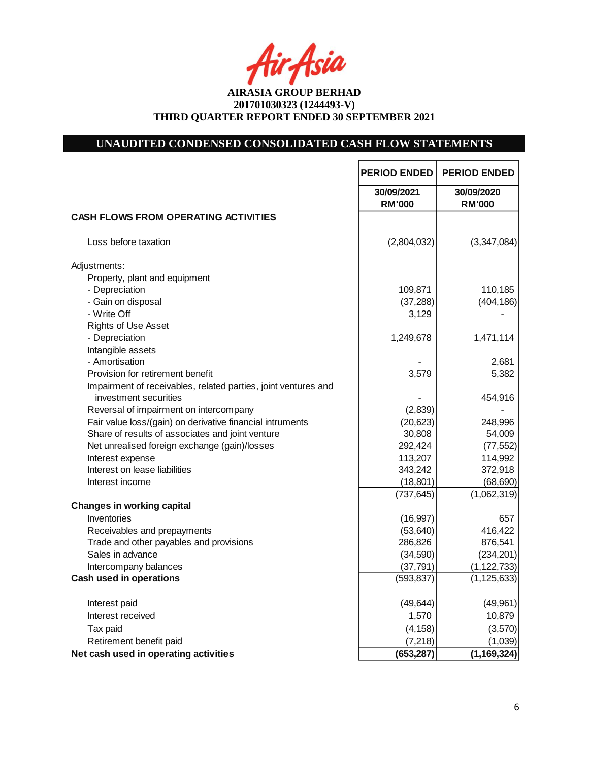fir<sub>i</sub>fsia

# **UNAUDITED CONDENSED CONSOLIDATED CASH FLOW STATEMENTS**

|                                                                | <b>PERIOD ENDED</b>         | <b>PERIOD ENDED</b>         |
|----------------------------------------------------------------|-----------------------------|-----------------------------|
|                                                                | 30/09/2021<br><b>RM'000</b> | 30/09/2020<br><b>RM'000</b> |
| <b>CASH FLOWS FROM OPERATING ACTIVITIES</b>                    |                             |                             |
| Loss before taxation                                           | (2,804,032)                 | (3,347,084)                 |
| Adjustments:                                                   |                             |                             |
| Property, plant and equipment                                  |                             |                             |
| - Depreciation                                                 | 109,871                     | 110,185                     |
| - Gain on disposal                                             | (37, 288)                   | (404, 186)                  |
| - Write Off                                                    | 3,129                       |                             |
| <b>Rights of Use Asset</b>                                     |                             |                             |
| - Depreciation                                                 | 1,249,678                   | 1,471,114                   |
| Intangible assets                                              |                             |                             |
| - Amortisation                                                 |                             | 2,681                       |
| Provision for retirement benefit                               | 3,579                       | 5,382                       |
| Impairment of receivables, related parties, joint ventures and |                             |                             |
| investment securities                                          |                             | 454,916                     |
| Reversal of impairment on intercompany                         | (2,839)                     |                             |
| Fair value loss/(gain) on derivative financial intruments      | (20, 623)                   | 248,996                     |
| Share of results of associates and joint venture               | 30,808                      | 54,009                      |
| Net unrealised foreign exchange (gain)/losses                  | 292,424                     | (77, 552)                   |
| Interest expense                                               | 113,207                     | 114,992                     |
| Interest on lease liabilities                                  | 343,242                     | 372,918                     |
| Interest income                                                | (18, 801)                   | (68, 690)                   |
|                                                                | (737, 645)                  | (1,062,319)                 |
| <b>Changes in working capital</b>                              |                             |                             |
| Inventories                                                    | (16, 997)                   | 657                         |
| Receivables and prepayments                                    | (53, 640)                   | 416,422                     |
| Trade and other payables and provisions                        | 286,826                     | 876,541                     |
| Sales in advance                                               | (34,590)                    | (234, 201)                  |
| Intercompany balances                                          | (37, 791)                   | (1, 122, 733)               |
| <b>Cash used in operations</b>                                 | (593, 837)                  | (1, 125, 633)               |
| Interest paid                                                  | (49, 644)                   | (49, 961)                   |
| Interest received                                              | 1,570                       | 10,879                      |
| Tax paid                                                       | (4, 158)                    | (3,570)                     |
| Retirement benefit paid                                        | (7, 218)                    | (1,039)                     |
| Net cash used in operating activities                          | (653, 287)                  | (1, 169, 324)               |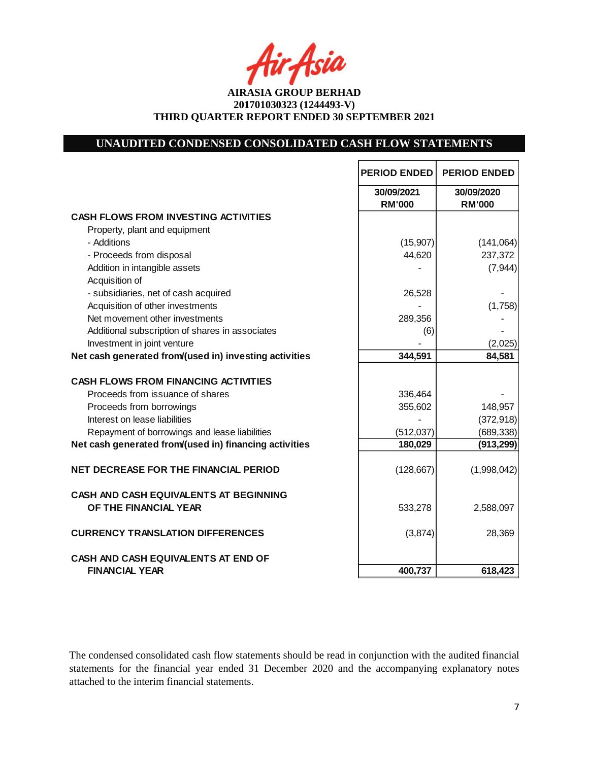Asia

**AIRASIA GROUP BERHAD 201701030323 (1244493-V) THIRD QUARTER REPORT ENDED 30 SEPTEMBER 2021**

# **UNAUDITED CONDENSED CONSOLIDATED CASH FLOW STATEMENTS**

|                                                                     | <b>PERIOD ENDED</b>         | <b>PERIOD ENDED</b>         |
|---------------------------------------------------------------------|-----------------------------|-----------------------------|
|                                                                     | 30/09/2021<br><b>RM'000</b> | 30/09/2020<br><b>RM'000</b> |
| <b>CASH FLOWS FROM INVESTING ACTIVITIES</b>                         |                             |                             |
| Property, plant and equipment                                       |                             |                             |
| - Additions                                                         | (15, 907)                   | (141, 064)                  |
| - Proceeds from disposal                                            | 44,620                      | 237,372                     |
| Addition in intangible assets                                       |                             | (7,944)                     |
| Acquisition of                                                      |                             |                             |
| - subsidiaries, net of cash acquired                                | 26,528                      |                             |
| Acquisition of other investments                                    |                             | (1,758)                     |
| Net movement other investments                                      | 289,356                     |                             |
| Additional subscription of shares in associates                     | (6)                         |                             |
| Investment in joint venture                                         |                             | (2,025)                     |
| Net cash generated from/(used in) investing activities              | 344,591                     | 84,581                      |
| <b>CASH FLOWS FROM FINANCING ACTIVITIES</b>                         |                             |                             |
| Proceeds from issuance of shares                                    | 336,464                     |                             |
| Proceeds from borrowings                                            | 355,602                     | 148,957                     |
| Interest on lease liabilities                                       |                             | (372, 918)                  |
| Repayment of borrowings and lease liabilities                       | (512, 037)                  | (689, 338)                  |
| Net cash generated from/(used in) financing activities              | 180,029                     | (913, 299)                  |
| <b>NET DECREASE FOR THE FINANCIAL PERIOD</b>                        | (128, 667)                  | (1,998,042)                 |
| CASH AND CASH EQUIVALENTS AT BEGINNING<br>OF THE FINANCIAL YEAR     | 533,278                     | 2,588,097                   |
| <b>CURRENCY TRANSLATION DIFFERENCES</b>                             | (3,874)                     | 28,369                      |
| <b>CASH AND CASH EQUIVALENTS AT END OF</b><br><b>FINANCIAL YEAR</b> | 400,737                     | 618,423                     |

The condensed consolidated cash flow statements should be read in conjunction with the audited financial statements for the financial year ended 31 December 2020 and the accompanying explanatory notes attached to the interim financial statements.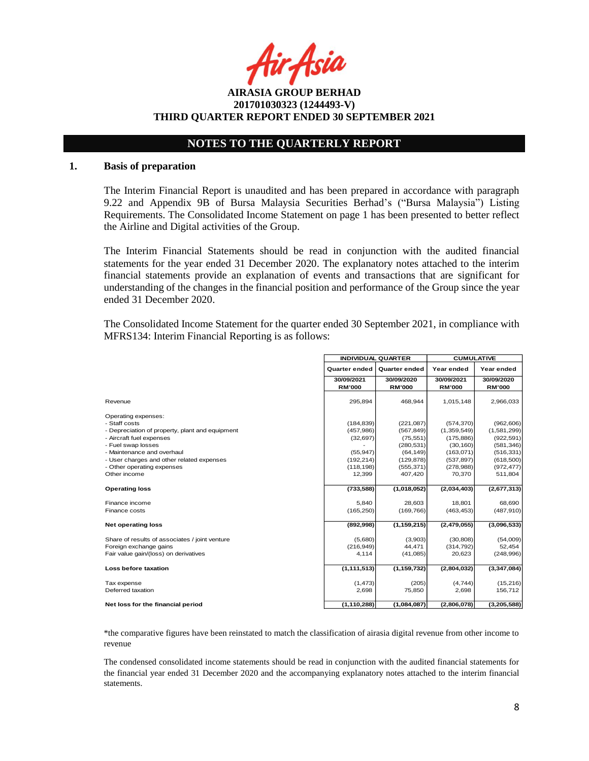r Asia

**AIRASIA GROUP BERHAD 201701030323 (1244493-V) THIRD QUARTER REPORT ENDED 30 SEPTEMBER 2021**

# **NOTES TO THE QUARTERLY REPORT**

#### **1. Basis of preparation**

The Interim Financial Report is unaudited and has been prepared in accordance with paragraph 9.22 and Appendix 9B of Bursa Malaysia Securities Berhad's ("Bursa Malaysia") Listing Requirements. The Consolidated Income Statement on page 1 has been presented to better reflect the Airline and Digital activities of the Group.

The Interim Financial Statements should be read in conjunction with the audited financial statements for the year ended 31 December 2020. The explanatory notes attached to the interim financial statements provide an explanation of events and transactions that are significant for understanding of the changes in the financial position and performance of the Group since the year ended 31 December 2020.

The Consolidated Income Statement for the quarter ended 30 September 2021, in compliance with MFRS134: Interim Financial Reporting is as follows:

|                                                 | <b>INDIVIDUAL QUARTER</b>   |                             | <b>CUMULATIVE</b>           |                             |  |
|-------------------------------------------------|-----------------------------|-----------------------------|-----------------------------|-----------------------------|--|
|                                                 | <b>Quarter ended</b>        | <b>Quarter ended</b>        | Year ended                  | Year ended                  |  |
|                                                 | 30/09/2021<br><b>RM'000</b> | 30/09/2020<br><b>RM'000</b> | 30/09/2021<br><b>RM'000</b> | 30/09/2020<br><b>RM'000</b> |  |
| Revenue                                         | 295,894                     | 468,944                     | 1,015,148                   | 2,966,033                   |  |
| Operating expenses:                             |                             |                             |                             |                             |  |
| - Staff costs                                   | (184, 839)                  | (221, 087)                  | (574, 370)                  | (962, 606)                  |  |
| - Depreciation of property, plant and equipment | (457, 986)                  | (567, 849)                  | (1,359,549)                 | (1,581,299)                 |  |
| - Aircraft fuel expenses                        | (32, 697)                   | (75, 551)                   | (175, 886)                  | (922, 591)                  |  |
| - Fuel swap losses                              |                             | (280, 531)                  | (30, 160)                   | (581, 346)                  |  |
| - Maintenance and overhaul                      | (55, 947)                   | (64, 149)                   | (163,071)                   | (516, 331)                  |  |
| - User charges and other related expenses       | (192, 214)                  | (129, 878)                  | (537, 897)                  | (618,500)                   |  |
| - Other operating expenses                      | (118, 198)                  | (555, 371)                  | (278, 988)                  | (972, 477)                  |  |
| Other income                                    | 12.399                      | 407.420                     | 70,370                      | 511,804                     |  |
| <b>Operating loss</b>                           | (733, 588)                  | (1,018,052)                 | (2,034,403)                 | (2,677,313)                 |  |
| Finance income                                  | 5,840                       | 28,603                      | 18,801                      | 68,690                      |  |
| Finance costs                                   | (165, 250)                  | (169, 766)                  | (463, 453)                  | (487, 910)                  |  |
| <b>Net operating loss</b>                       | (892,998)                   | (1, 159, 215)               | (2,479,055)                 | (3,096,533)                 |  |
| Share of results of associates / joint venture  | (5,680)                     | (3,903)                     | (30, 808)                   | (54,009)                    |  |
| Foreign exchange gains                          | (216, 949)                  | 44.471                      | (314, 792)                  | 52,454                      |  |
| Fair value gain/(loss) on derivatives           | 4,114                       | (41,085)                    | 20,623                      | (248, 996)                  |  |
| Loss before taxation                            | (1, 111, 513)               | (1, 159, 732)               | (2,804,032)                 | (3,347,084)                 |  |
| Tax expense                                     | (1, 473)                    | (205)                       | (4,744)                     | (15,216)                    |  |
| Deferred taxation                               | 2,698                       | 75,850                      | 2,698                       | 156,712                     |  |
| Net loss for the financial period               | (1, 110, 288)               | (1,084,087)                 | (2,806,078)                 | (3,205,588)                 |  |

\*the comparative figures have been reinstated to match the classification of airasia digital revenue from other income to revenue

The condensed consolidated income statements should be read in conjunction with the audited financial statements for the financial year ended 31 December 2020 and the accompanying explanatory notes attached to the interim financial statements.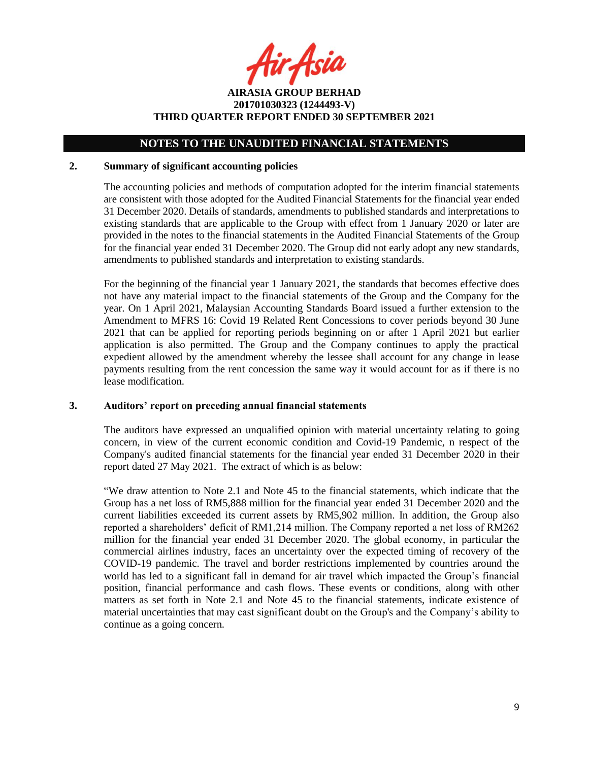fir Asia

**AIRASIA GROUP BERHAD 201701030323 (1244493-V) THIRD QUARTER REPORT ENDED 30 SEPTEMBER 2021**

#### **2. Summary of significant accounting policies**

The accounting policies and methods of computation adopted for the interim financial statements are consistent with those adopted for the Audited Financial Statements for the financial year ended 31 December 2020. Details of standards, amendments to published standards and interpretations to existing standards that are applicable to the Group with effect from 1 January 2020 or later are provided in the notes to the financial statements in the Audited Financial Statements of the Group for the financial year ended 31 December 2020. The Group did not early adopt any new standards, amendments to published standards and interpretation to existing standards.

For the beginning of the financial year 1 January 2021, the standards that becomes effective does not have any material impact to the financial statements of the Group and the Company for the year. On 1 April 2021, Malaysian Accounting Standards Board issued a further extension to the Amendment to MFRS 16: Covid 19 Related Rent Concessions to cover periods beyond 30 June 2021 that can be applied for reporting periods beginning on or after 1 April 2021 but earlier application is also permitted. The Group and the Company continues to apply the practical expedient allowed by the amendment whereby the lessee shall account for any change in lease payments resulting from the rent concession the same way it would account for as if there is no lease modification.

#### **3. Auditors' report on preceding annual financial statements**

The auditors have expressed an unqualified opinion with material uncertainty relating to going concern, in view of the current economic condition and Covid-19 Pandemic, n respect of the Company's audited financial statements for the financial year ended 31 December 2020 in their report dated 27 May 2021. The extract of which is as below:

"We draw attention to Note 2.1 and Note 45 to the financial statements, which indicate that the Group has a net loss of RM5,888 million for the financial year ended 31 December 2020 and the current liabilities exceeded its current assets by RM5,902 million. In addition, the Group also reported a shareholders' deficit of RM1,214 million. The Company reported a net loss of RM262 million for the financial year ended 31 December 2020. The global economy, in particular the commercial airlines industry, faces an uncertainty over the expected timing of recovery of the COVID-19 pandemic. The travel and border restrictions implemented by countries around the world has led to a significant fall in demand for air travel which impacted the Group's financial position, financial performance and cash flows. These events or conditions, along with other matters as set forth in Note 2.1 and Note 45 to the financial statements, indicate existence of material uncertainties that may cast significant doubt on the Group's and the Company's ability to continue as a going concern.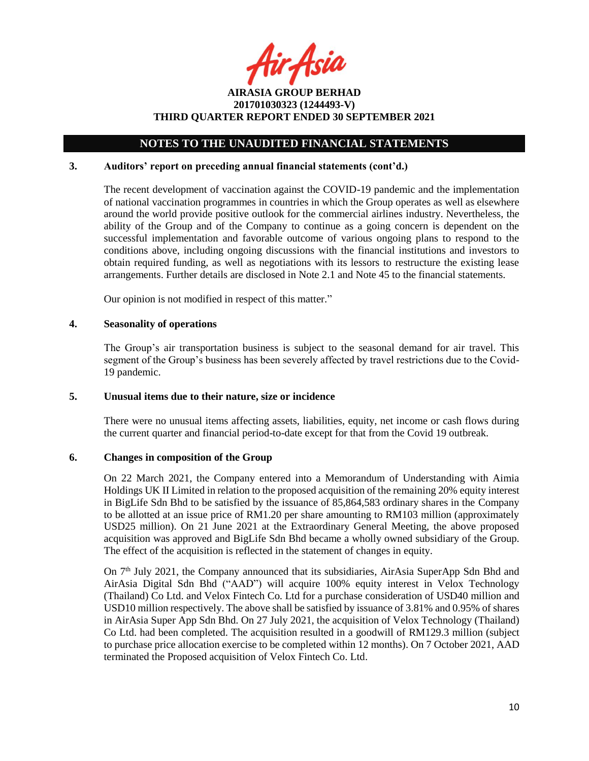fir Asia

**AIRASIA GROUP BERHAD 201701030323 (1244493-V) THIRD QUARTER REPORT ENDED 30 SEPTEMBER 2021**

# **3. Auditors' report on preceding annual financial statements (cont'd.)**

The recent development of vaccination against the COVID-19 pandemic and the implementation of national vaccination programmes in countries in which the Group operates as well as elsewhere around the world provide positive outlook for the commercial airlines industry. Nevertheless, the ability of the Group and of the Company to continue as a going concern is dependent on the successful implementation and favorable outcome of various ongoing plans to respond to the conditions above, including ongoing discussions with the financial institutions and investors to obtain required funding, as well as negotiations with its lessors to restructure the existing lease arrangements. Further details are disclosed in Note 2.1 and Note 45 to the financial statements.

Our opinion is not modified in respect of this matter."

## **4. Seasonality of operations**

The Group's air transportation business is subject to the seasonal demand for air travel. This segment of the Group's business has been severely affected by travel restrictions due to the Covid-19 pandemic.

# **5. Unusual items due to their nature, size or incidence**

There were no unusual items affecting assets, liabilities, equity, net income or cash flows during the current quarter and financial period-to-date except for that from the Covid 19 outbreak.

# **6. Changes in composition of the Group**

On 22 March 2021, the Company entered into a Memorandum of Understanding with Aimia Holdings UK II Limited in relation to the proposed acquisition of the remaining 20% equity interest in BigLife Sdn Bhd to be satisfied by the issuance of 85,864,583 ordinary shares in the Company to be allotted at an issue price of RM1.20 per share amounting to RM103 million (approximately USD25 million). On 21 June 2021 at the Extraordinary General Meeting, the above proposed acquisition was approved and BigLife Sdn Bhd became a wholly owned subsidiary of the Group. The effect of the acquisition is reflected in the statement of changes in equity.

On 7th July 2021, the Company announced that its subsidiaries, AirAsia SuperApp Sdn Bhd and AirAsia Digital Sdn Bhd ("AAD") will acquire 100% equity interest in Velox Technology (Thailand) Co Ltd. and Velox Fintech Co. Ltd for a purchase consideration of USD40 million and USD10 million respectively. The above shall be satisfied by issuance of 3.81% and 0.95% of shares in AirAsia Super App Sdn Bhd. On 27 July 2021, the acquisition of Velox Technology (Thailand) Co Ltd. had been completed. The acquisition resulted in a goodwill of RM129.3 million (subject to purchase price allocation exercise to be completed within 12 months). On 7 October 2021, AAD terminated the Proposed acquisition of Velox Fintech Co. Ltd.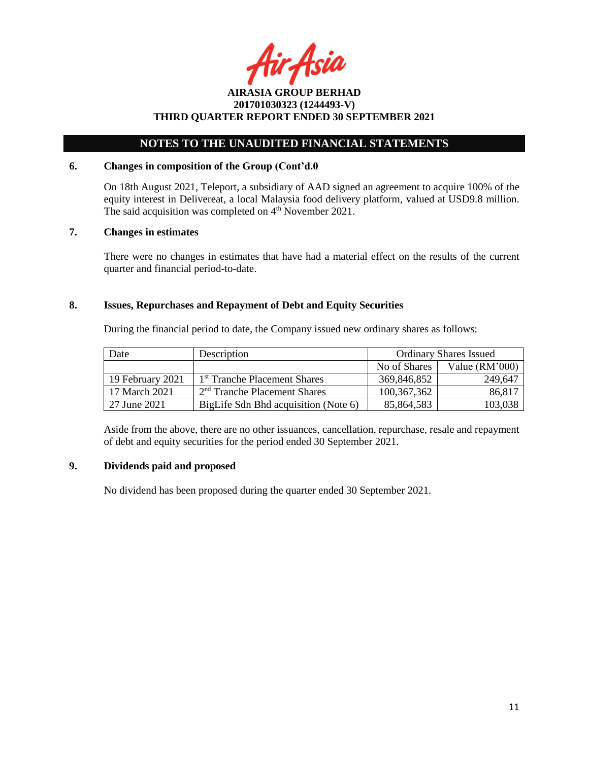Asia

# **NOTES TO THE UNAUDITED FINANCIAL STATEMENTS**

## **6. Changes in composition of the Group (Cont'd.0**

On 18th August 2021, Teleport, a subsidiary of AAD signed an agreement to acquire 100% of the equity interest in Delivereat, a local Malaysia food delivery platform, valued at USD9.8 million. The said acquisition was completed on  $4<sup>th</sup>$  November 2021.

## **7. Changes in estimates**

There were no changes in estimates that have had a material effect on the results of the current quarter and financial period-to-date.

## **8. Issues, Repurchases and Repayment of Debt and Equity Securities**

During the financial period to date, the Company issued new ordinary shares as follows:

| Date             | Description                              |               | <b>Ordinary Shares Issued</b> |
|------------------|------------------------------------------|---------------|-------------------------------|
|                  |                                          | No of Shares  | Value $(RM'000)$              |
| 19 February 2021 | 1 <sup>st</sup> Tranche Placement Shares | 369,846,852   | 249,647                       |
| 17 March 2021    | $2nd$ Tranche Placement Shares           | 100, 367, 362 | 86,817                        |
| 27 June 2021     | BigLife Sdn Bhd acquisition (Note 6)     | 85,864,583    | 103,038                       |

Aside from the above, there are no other issuances, cancellation, repurchase, resale and repayment of debt and equity securities for the period ended 30 September 2021.

## **9. Dividends paid and proposed**

No dividend has been proposed during the quarter ended 30 September 2021.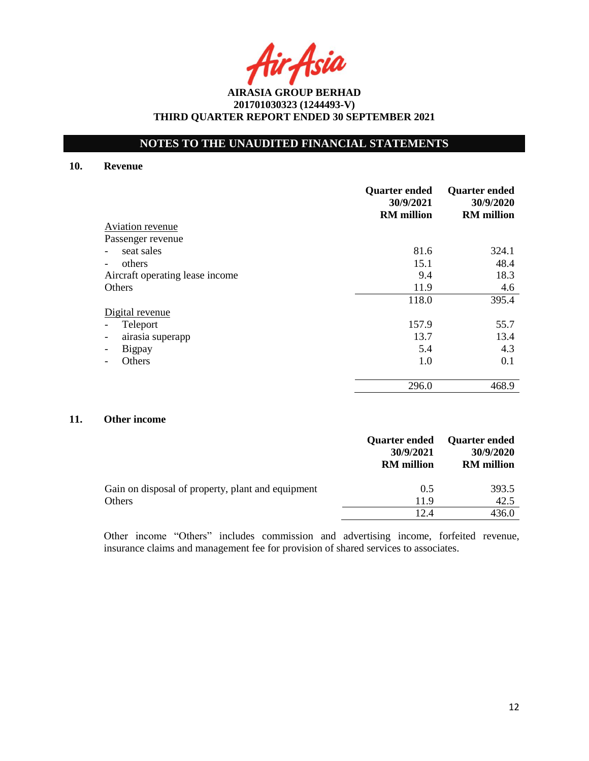Asia

# **NOTES TO THE UNAUDITED FINANCIAL STATEMENTS**

#### **10. Revenue**

|                                              | <b>Quarter ended</b><br>30/9/2021<br><b>RM</b> million | <b>Quarter ended</b><br>30/9/2020<br><b>RM</b> million |
|----------------------------------------------|--------------------------------------------------------|--------------------------------------------------------|
| Aviation revenue                             |                                                        |                                                        |
| Passenger revenue                            |                                                        |                                                        |
| seat sales                                   | 81.6                                                   | 324.1                                                  |
| others                                       | 15.1                                                   | 48.4                                                   |
| Aircraft operating lease income              | 9.4                                                    | 18.3                                                   |
| Others                                       | 11.9                                                   | 4.6                                                    |
|                                              | 118.0                                                  | 395.4                                                  |
| Digital revenue                              |                                                        |                                                        |
| Teleport                                     | 157.9                                                  | 55.7                                                   |
| airasia superapp<br>$\overline{\phantom{a}}$ | 13.7                                                   | 13.4                                                   |
| Bigpay                                       | 5.4                                                    | 4.3                                                    |
| Others                                       | 1.0                                                    | 0.1                                                    |
|                                              | 296.0                                                  | 468.9                                                  |

## **11. Other income**

|                                                             | <b>Quarter ended</b><br>30/9/2021<br><b>RM</b> million | <b>Quarter ended</b><br>30/9/2020<br><b>RM</b> million |
|-------------------------------------------------------------|--------------------------------------------------------|--------------------------------------------------------|
| Gain on disposal of property, plant and equipment<br>Others | 0.5<br>11.9                                            | 393.5<br>42.5                                          |
|                                                             |                                                        | 436.0                                                  |

Other income "Others" includes commission and advertising income, forfeited revenue, insurance claims and management fee for provision of shared services to associates.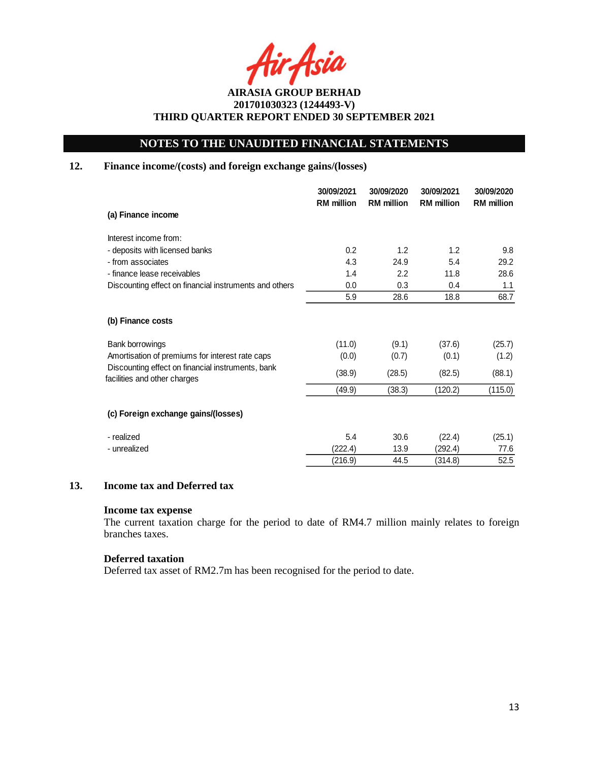# **NOTES TO THE UNAUDITED FINANCIAL STATEMENTS**

# **12. Finance income/(costs) and foreign exchange gains/(losses)**

|                                                                                   | 30/09/2021<br><b>RM</b> million | 30/09/2020<br><b>RM</b> million | 30/09/2021<br><b>RM</b> million | 30/09/2020<br><b>RM</b> million |
|-----------------------------------------------------------------------------------|---------------------------------|---------------------------------|---------------------------------|---------------------------------|
| (a) Finance income                                                                |                                 |                                 |                                 |                                 |
| Interest income from:                                                             |                                 |                                 |                                 |                                 |
| - deposits with licensed banks                                                    | 0.2                             | 1.2                             | 1.2                             | 9.8                             |
| - from associates                                                                 | 4.3                             | 24.9                            | 5.4                             | 29.2                            |
| - finance lease receivables                                                       | 1.4                             | 2.2                             | 11.8                            | 28.6                            |
| Discounting effect on financial instruments and others                            | 0.0                             | 0.3                             | 0.4                             | 1.1                             |
|                                                                                   | 5.9                             | 28.6                            | 18.8                            | 68.7                            |
| (b) Finance costs                                                                 |                                 |                                 |                                 |                                 |
| Bank borrowings                                                                   | (11.0)                          | (9.1)                           | (37.6)                          | (25.7)                          |
| Amortisation of premiums for interest rate caps                                   | (0.0)                           | (0.7)                           | (0.1)                           | (1.2)                           |
| Discounting effect on financial instruments, bank<br>facilities and other charges | (38.9)                          | (28.5)                          | (82.5)                          | (88.1)                          |
|                                                                                   | (49.9)                          | (38.3)                          | (120.2)                         | (115.0)                         |
| (c) Foreign exchange gains/(losses)                                               |                                 |                                 |                                 |                                 |
| - realized                                                                        | 5.4                             | 30.6                            | (22.4)                          | (25.1)                          |
| - unrealized                                                                      | (222.4)                         | 13.9                            | (292.4)                         | 77.6                            |
|                                                                                   | (216.9)                         | 44.5                            | (314.8)                         | 52.5                            |

## **13. Income tax and Deferred tax**

#### **Income tax expense**

The current taxation charge for the period to date of RM4.7 million mainly relates to foreign branches taxes.

### **Deferred taxation**

Deferred tax asset of RM2.7m has been recognised for the period to date.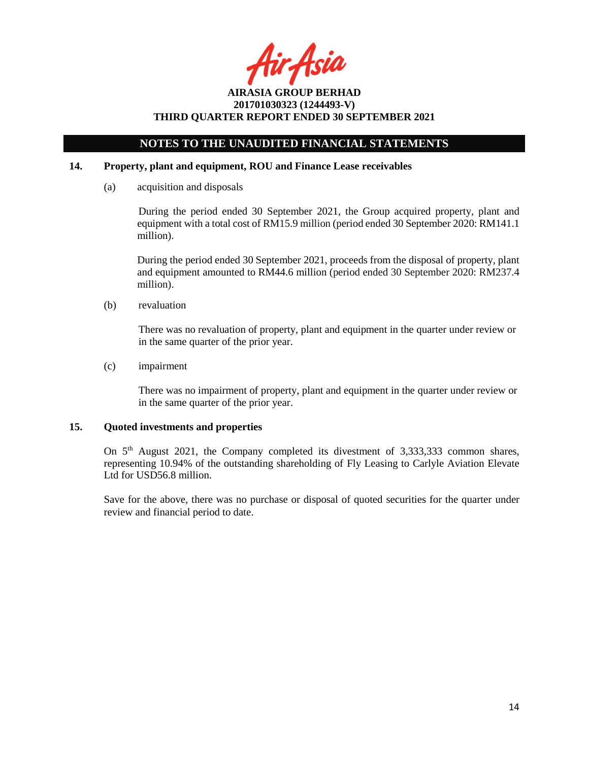r Asia

# **NOTES TO THE UNAUDITED FINANCIAL STATEMENTS**

## **14. Property, plant and equipment, ROU and Finance Lease receivables**

(a) acquisition and disposals

During the period ended 30 September 2021, the Group acquired property, plant and equipment with a total cost of RM15.9 million (period ended 30 September 2020: RM141.1 million).

During the period ended 30 September 2021, proceeds from the disposal of property, plant and equipment amounted to RM44.6 million (period ended 30 September 2020: RM237.4 million).

(b) revaluation

There was no revaluation of property, plant and equipment in the quarter under review or in the same quarter of the prior year.

(c) impairment

There was no impairment of property, plant and equipment in the quarter under review or in the same quarter of the prior year.

## **15. Quoted investments and properties**

On 5<sup>th</sup> August 2021, the Company completed its divestment of 3,333,333 common shares, representing 10.94% of the outstanding shareholding of Fly Leasing to Carlyle Aviation Elevate Ltd for USD56.8 million.

Save for the above, there was no purchase or disposal of quoted securities for the quarter under review and financial period to date.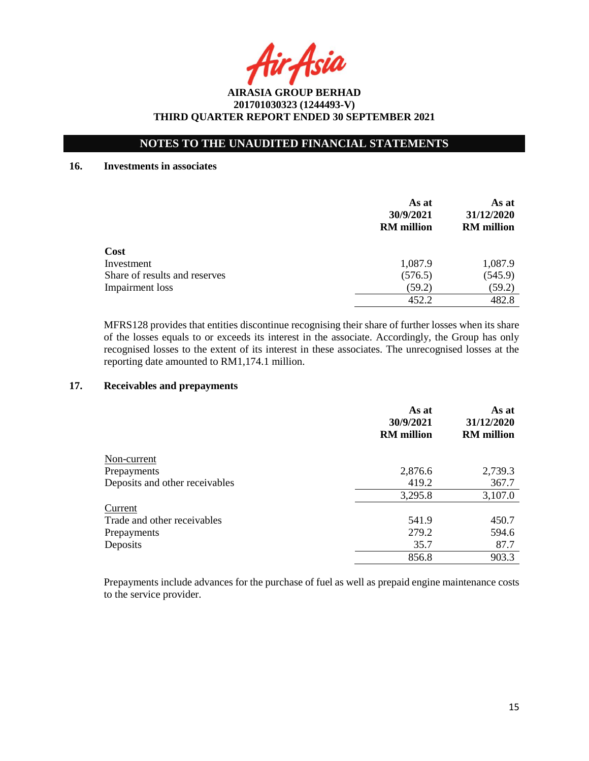Asia

# **NOTES TO THE UNAUDITED FINANCIAL STATEMENTS**

#### **16. Investments in associates**

|                               | As at<br>30/9/2021<br><b>RM</b> million | As at<br>31/12/2020<br><b>RM</b> million |
|-------------------------------|-----------------------------------------|------------------------------------------|
| Cost                          |                                         |                                          |
| Investment                    | 1,087.9                                 | 1,087.9                                  |
| Share of results and reserves | (576.5)                                 | (545.9)                                  |
| Impairment loss               | (59.2)                                  | (59.2)                                   |
|                               | 452.2                                   | 482.8                                    |

MFRS128 provides that entities discontinue recognising their share of further losses when its share of the losses equals to or exceeds its interest in the associate. Accordingly, the Group has only recognised losses to the extent of its interest in these associates. The unrecognised losses at the reporting date amounted to RM1,174.1 million.

## **17. Receivables and prepayments**

|                                | As at<br>30/9/2021<br><b>RM</b> million | As at<br>31/12/2020<br><b>RM</b> million |
|--------------------------------|-----------------------------------------|------------------------------------------|
| Non-current                    |                                         |                                          |
| Prepayments                    | 2,876.6                                 | 2,739.3                                  |
| Deposits and other receivables | 419.2                                   | 367.7                                    |
|                                | 3,295.8                                 | 3,107.0                                  |
| Current                        |                                         |                                          |
| Trade and other receivables    | 541.9                                   | 450.7                                    |
| Prepayments                    | 279.2                                   | 594.6                                    |
| Deposits                       | 35.7                                    | 87.7                                     |
|                                | 856.8                                   | 903.3                                    |

Prepayments include advances for the purchase of fuel as well as prepaid engine maintenance costs to the service provider.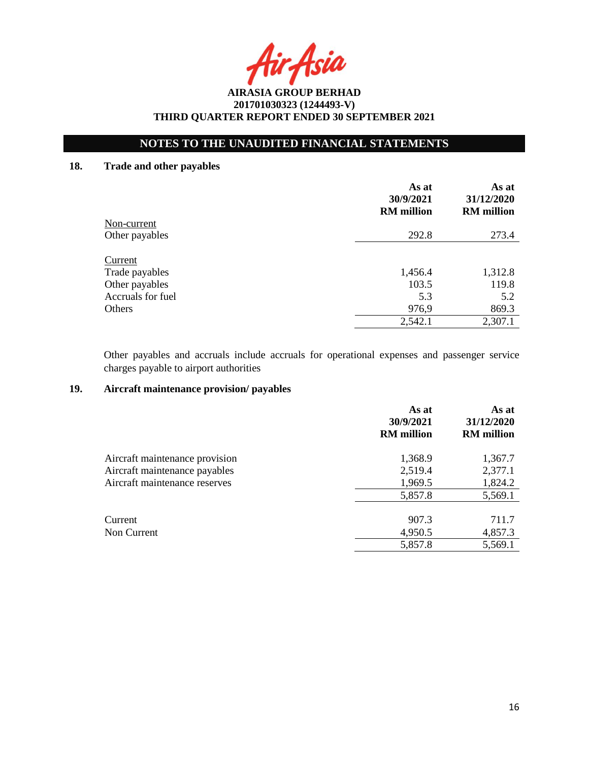Asia

# **NOTES TO THE UNAUDITED FINANCIAL STATEMENTS**

# **18. Trade and other payables**

|                   | As at<br>30/9/2021<br><b>RM</b> million | As at<br>31/12/2020<br><b>RM</b> million |
|-------------------|-----------------------------------------|------------------------------------------|
| Non-current       |                                         |                                          |
| Other payables    | 292.8                                   | 273.4                                    |
| Current           |                                         |                                          |
| Trade payables    | 1,456.4                                 | 1,312.8                                  |
| Other payables    | 103.5                                   | 119.8                                    |
| Accruals for fuel | 5.3                                     | 5.2                                      |
| Others            | 976,9                                   | 869.3                                    |
|                   | 2,542.1                                 | 2,307.1                                  |

Other payables and accruals include accruals for operational expenses and passenger service charges payable to airport authorities

# **19. Aircraft maintenance provision/ payables**

|                                | As at<br>30/9/2021<br><b>RM</b> million | As at<br>31/12/2020<br><b>RM</b> million |
|--------------------------------|-----------------------------------------|------------------------------------------|
| Aircraft maintenance provision | 1,368.9                                 | 1,367.7                                  |
| Aircraft maintenance payables  | 2,519.4                                 | 2,377.1                                  |
| Aircraft maintenance reserves  | 1,969.5                                 | 1,824.2                                  |
|                                | 5,857.8                                 | 5,569.1                                  |
| Current                        | 907.3                                   | 711.7                                    |
| Non Current                    | 4,950.5                                 | 4,857.3                                  |
|                                | 5,857.8                                 | 5,569.1                                  |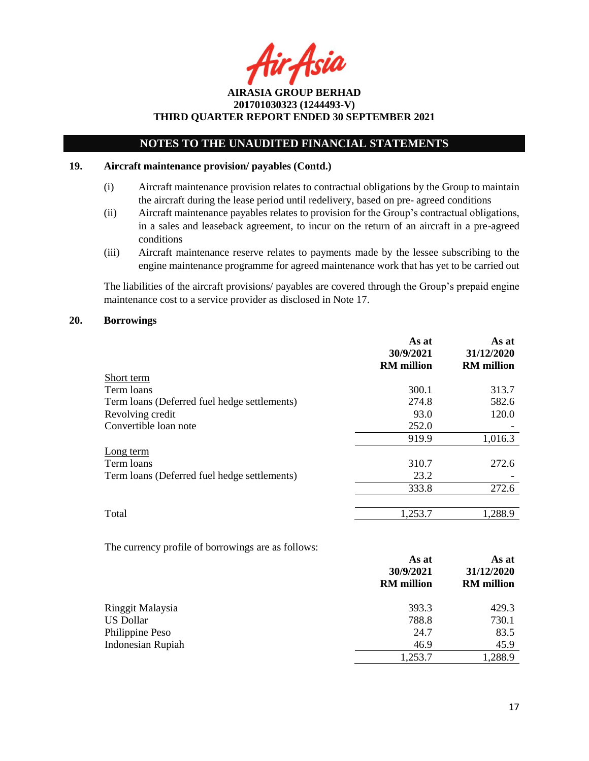Asia

# **NOTES TO THE UNAUDITED FINANCIAL STATEMENTS**

### **19. Aircraft maintenance provision/ payables (Contd.)**

- (i) Aircraft maintenance provision relates to contractual obligations by the Group to maintain the aircraft during the lease period until redelivery, based on pre- agreed conditions
- (ii) Aircraft maintenance payables relates to provision for the Group's contractual obligations, in a sales and leaseback agreement, to incur on the return of an aircraft in a pre-agreed conditions
- (iii) Aircraft maintenance reserve relates to payments made by the lessee subscribing to the engine maintenance programme for agreed maintenance work that has yet to be carried out

The liabilities of the aircraft provisions/ payables are covered through the Group's prepaid engine maintenance cost to a service provider as disclosed in Note 17.

#### **20. Borrowings**

|                                              | As at<br>30/9/2021<br><b>RM</b> million | As at<br>31/12/2020<br><b>RM</b> million |
|----------------------------------------------|-----------------------------------------|------------------------------------------|
| Short term                                   |                                         |                                          |
| Term loans                                   | 300.1                                   | 313.7                                    |
| Term loans (Deferred fuel hedge settlements) | 274.8                                   | 582.6                                    |
| Revolving credit                             | 93.0                                    | 120.0                                    |
| Convertible loan note                        | 252.0                                   |                                          |
|                                              | 919.9                                   | 1,016.3                                  |
| Long term                                    |                                         |                                          |
| Term loans                                   | 310.7                                   | 272.6                                    |
| Term loans (Deferred fuel hedge settlements) | 23.2                                    |                                          |
|                                              | 333.8                                   | 272.6                                    |
| Total                                        | 1,253.7                                 | 1,288.9                                  |

The currency profile of borrowings are as follows:

|                          | As at<br>30/9/2021<br><b>RM</b> million | As at<br>31/12/2020<br><b>RM</b> million |
|--------------------------|-----------------------------------------|------------------------------------------|
| Ringgit Malaysia         | 393.3                                   | 429.3                                    |
| <b>US Dollar</b>         | 788.8                                   | 730.1                                    |
| Philippine Peso          | 24.7                                    | 83.5                                     |
| <b>Indonesian Rupiah</b> | 46.9                                    | 45.9                                     |
|                          | 1,253.7                                 | 1,288.9                                  |
|                          |                                         |                                          |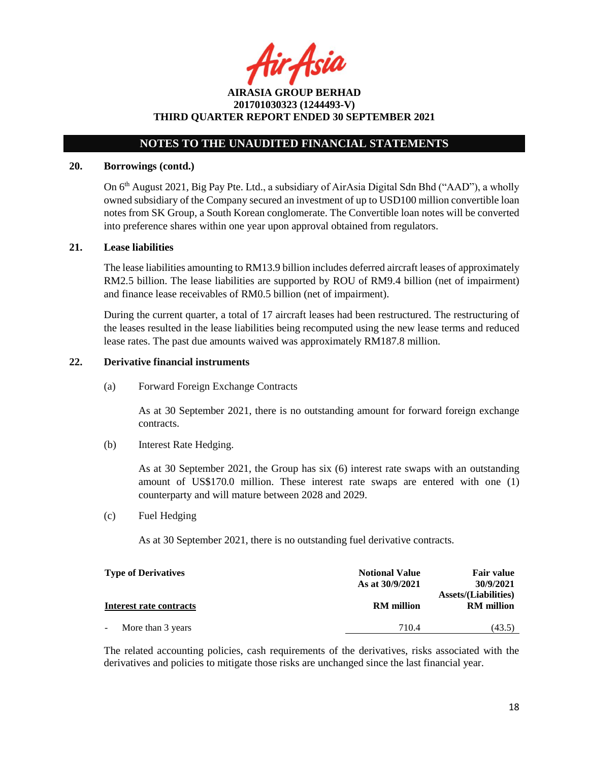tir Asia

**AIRASIA GROUP BERHAD 201701030323 (1244493-V) THIRD QUARTER REPORT ENDED 30 SEPTEMBER 2021**

#### **20. Borrowings (contd.)**

On 6th August 2021, Big Pay Pte. Ltd., a subsidiary of AirAsia Digital Sdn Bhd ("AAD"), a wholly owned subsidiary of the Company secured an investment of up to USD100 million convertible loan notes from SK Group, a South Korean conglomerate. The Convertible loan notes will be converted into preference shares within one year upon approval obtained from regulators.

#### **21. Lease liabilities**

The lease liabilities amounting to RM13.9 billion includes deferred aircraft leases of approximately RM2.5 billion. The lease liabilities are supported by ROU of RM9.4 billion (net of impairment) and finance lease receivables of RM0.5 billion (net of impairment).

During the current quarter, a total of 17 aircraft leases had been restructured. The restructuring of the leases resulted in the lease liabilities being recomputed using the new lease terms and reduced lease rates. The past due amounts waived was approximately RM187.8 million.

# **22. Derivative financial instruments**

(a) Forward Foreign Exchange Contracts

As at 30 September 2021, there is no outstanding amount for forward foreign exchange contracts.

(b) Interest Rate Hedging.

As at 30 September 2021, the Group has six (6) interest rate swaps with an outstanding amount of US\$170.0 million. These interest rate swaps are entered with one (1) counterparty and will mature between 2028 and 2029.

#### (c) Fuel Hedging

As at 30 September 2021, there is no outstanding fuel derivative contracts.

| <b>Type of Derivatives</b> | <b>Notional Value</b><br>As at 30/9/2021 | <b>Fair value</b><br>30/9/2021                   |
|----------------------------|------------------------------------------|--------------------------------------------------|
| Interest rate contracts    | <b>RM</b> million                        | <b>Assets/(Liabilities)</b><br><b>RM</b> million |
| More than 3 years          | 710.4                                    | (43.5)                                           |

The related accounting policies, cash requirements of the derivatives, risks associated with the derivatives and policies to mitigate those risks are unchanged since the last financial year.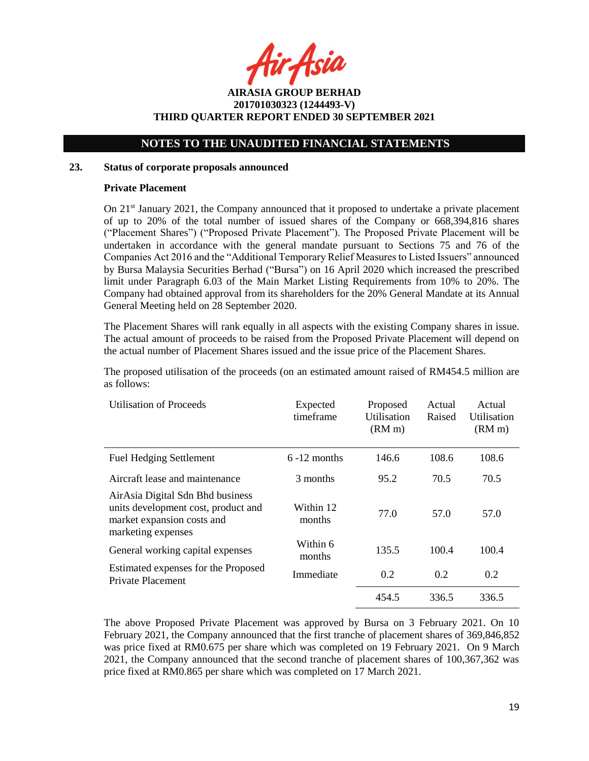r Asia

# **NOTES TO THE UNAUDITED FINANCIAL STATEMENTS**

### **23. Status of corporate proposals announced**

## **Private Placement**

On  $21<sup>st</sup>$  January 2021, the Company announced that it proposed to undertake a private placement of up to 20% of the total number of issued shares of the Company or 668,394,816 shares ("Placement Shares") ("Proposed Private Placement"). The Proposed Private Placement will be undertaken in accordance with the general mandate pursuant to Sections 75 and 76 of the Companies Act 2016 and the "Additional Temporary Relief Measures to Listed Issuers" announced by Bursa Malaysia Securities Berhad ("Bursa") on 16 April 2020 which increased the prescribed limit under Paragraph 6.03 of the Main Market Listing Requirements from 10% to 20%. The Company had obtained approval from its shareholders for the 20% General Mandate at its Annual General Meeting held on 28 September 2020.

The Placement Shares will rank equally in all aspects with the existing Company shares in issue. The actual amount of proceeds to be raised from the Proposed Private Placement will depend on the actual number of Placement Shares issued and the issue price of the Placement Shares.

The proposed utilisation of the proceeds (on an estimated amount raised of RM454.5 million are as follows:

| <b>Utilisation of Proceeds</b>                                                                                              | Expected<br>timeframe | Proposed<br>Utilisation<br>(RM <sub>m</sub> ) | Actual<br>Raised | Actual<br>Utilisation<br>(RM <sub>m</sub> ) |
|-----------------------------------------------------------------------------------------------------------------------------|-----------------------|-----------------------------------------------|------------------|---------------------------------------------|
| <b>Fuel Hedging Settlement</b>                                                                                              | $6 - 12$ months       | 146.6                                         | 108.6            | 108.6                                       |
| Aircraft lease and maintenance                                                                                              | 3 months              | 95.2                                          | 70.5             | 70.5                                        |
| AirAsia Digital Sdn Bhd business<br>units development cost, product and<br>market expansion costs and<br>marketing expenses | Within 12<br>months   | 77.0                                          | 57.0             | 57.0                                        |
| General working capital expenses                                                                                            | Within 6<br>months    | 135.5                                         | 100.4            | 100.4                                       |
| Estimated expenses for the Proposed<br><b>Private Placement</b>                                                             | Immediate             | 0.2                                           | 0.2              | 0.2                                         |
|                                                                                                                             |                       | 454.5                                         | 336.5            | 336.5                                       |

The above Proposed Private Placement was approved by Bursa on 3 February 2021. On 10 February 2021, the Company announced that the first tranche of placement shares of 369,846,852 was price fixed at RM0.675 per share which was completed on 19 February 2021. On 9 March 2021, the Company announced that the second tranche of placement shares of 100,367,362 was price fixed at RM0.865 per share which was completed on 17 March 2021.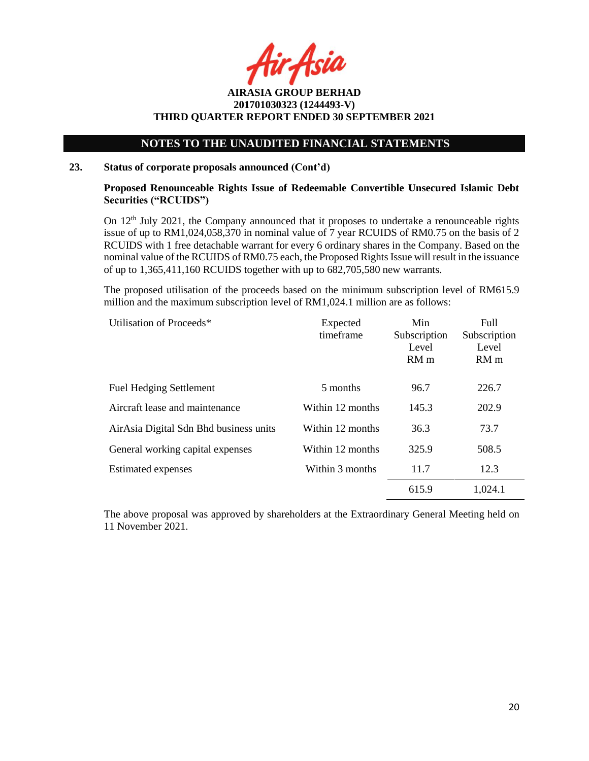Asia

# **NOTES TO THE UNAUDITED FINANCIAL STATEMENTS**

### **23. Status of corporate proposals announced (Cont'd)**

## **Proposed Renounceable Rights Issue of Redeemable Convertible Unsecured Islamic Debt Securities ("RCUIDS")**

On 12<sup>th</sup> July 2021, the Company announced that it proposes to undertake a renounceable rights issue of up to RM1,024,058,370 in nominal value of 7 year RCUIDS of RM0.75 on the basis of 2 RCUIDS with 1 free detachable warrant for every 6 ordinary shares in the Company. Based on the nominal value of the RCUIDS of RM0.75 each, the Proposed Rights Issue will result in the issuance of up to 1,365,411,160 RCUIDS together with up to 682,705,580 new warrants.

The proposed utilisation of the proceeds based on the minimum subscription level of RM615.9 million and the maximum subscription level of RM1,024.1 million are as follows:

| Utilisation of Proceeds*               | Expected<br>timeframe | Min<br>Subscription<br>Level<br>RM <sub>m</sub> | Full<br>Subscription<br>Level<br>RM <sub>m</sub> |
|----------------------------------------|-----------------------|-------------------------------------------------|--------------------------------------------------|
| <b>Fuel Hedging Settlement</b>         | 5 months              | 96.7                                            | 226.7                                            |
| Aircraft lease and maintenance         | Within 12 months      | 145.3                                           | 202.9                                            |
| AirAsia Digital Sdn Bhd business units | Within 12 months      | 36.3                                            | 73.7                                             |
| General working capital expenses       | Within 12 months      | 325.9                                           | 508.5                                            |
| <b>Estimated expenses</b>              | Within 3 months       | 11.7                                            | 12.3                                             |
|                                        |                       | 615.9                                           | 1,024.1                                          |

The above proposal was approved by shareholders at the Extraordinary General Meeting held on 11 November 2021.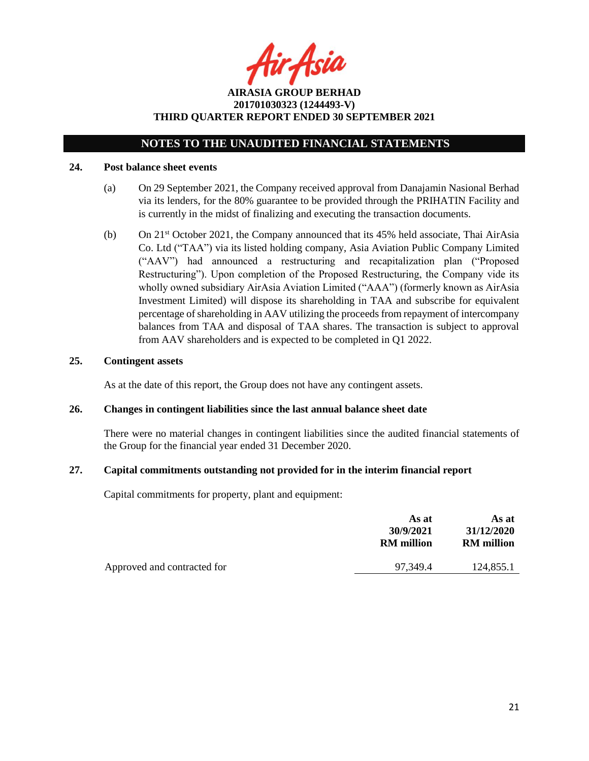tir Asia

**AIRASIA GROUP BERHAD 201701030323 (1244493-V) THIRD QUARTER REPORT ENDED 30 SEPTEMBER 2021**

#### **24. Post balance sheet events**

- (a) On 29 September 2021, the Company received approval from Danajamin Nasional Berhad via its lenders, for the 80% guarantee to be provided through the PRIHATIN Facility and is currently in the midst of finalizing and executing the transaction documents.
- (b) On 21st October 2021, the Company announced that its 45% held associate, Thai AirAsia Co. Ltd ("TAA") via its listed holding company, Asia Aviation Public Company Limited ("AAV") had announced a restructuring and recapitalization plan ("Proposed Restructuring"). Upon completion of the Proposed Restructuring, the Company vide its wholly owned subsidiary AirAsia Aviation Limited ("AAA") (formerly known as AirAsia Investment Limited) will dispose its shareholding in TAA and subscribe for equivalent percentage of shareholding in AAV utilizing the proceeds from repayment of intercompany balances from TAA and disposal of TAA shares. The transaction is subject to approval from AAV shareholders and is expected to be completed in Q1 2022.

#### **25. Contingent assets**

As at the date of this report, the Group does not have any contingent assets.

#### **26. Changes in contingent liabilities since the last annual balance sheet date**

There were no material changes in contingent liabilities since the audited financial statements of the Group for the financial year ended 31 December 2020.

#### **27. Capital commitments outstanding not provided for in the interim financial report**

Capital commitments for property, plant and equipment:

|                             | As at<br>30/9/2021<br><b>RM</b> million | As at<br>31/12/2020<br><b>RM</b> million |
|-----------------------------|-----------------------------------------|------------------------------------------|
| Approved and contracted for | 97.349.4                                | 124,855.1                                |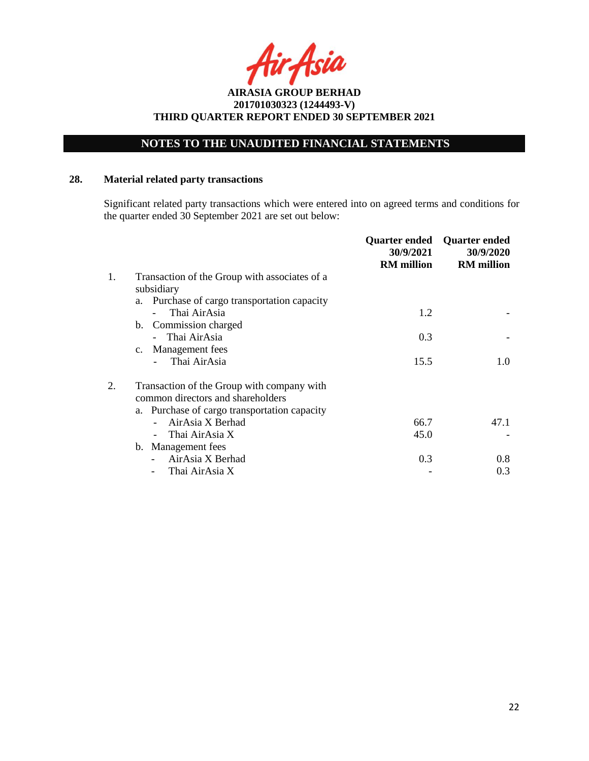# **NOTES TO THE UNAUDITED FINANCIAL STATEMENTS**

# **28. Material related party transactions**

Significant related party transactions which were entered into on agreed terms and conditions for the quarter ended 30 September 2021 are set out below:

|    |                                               | Quarter ended<br>30/9/2021<br><b>RM</b> million | <b>Quarter ended</b><br>30/9/2020<br><b>RM</b> million |
|----|-----------------------------------------------|-------------------------------------------------|--------------------------------------------------------|
| 1. | Transaction of the Group with associates of a |                                                 |                                                        |
|    | subsidiary                                    |                                                 |                                                        |
|    | a. Purchase of cargo transportation capacity  |                                                 |                                                        |
|    | Thai AirAsia                                  | 1.2                                             |                                                        |
|    | b. Commission charged                         |                                                 |                                                        |
|    | Thai AirAsia                                  | 0.3                                             |                                                        |
|    | Management fees<br>$c_{\cdot}$                |                                                 |                                                        |
|    | Thai AirAsia                                  | 15.5                                            | 1.0                                                    |
| 2. | Transaction of the Group with company with    |                                                 |                                                        |
|    | common directors and shareholders             |                                                 |                                                        |
|    | a. Purchase of cargo transportation capacity  |                                                 |                                                        |
|    | AirAsia X Berhad                              | 66.7                                            | 47.1                                                   |
|    | Thai AirAsia X                                | 45.0                                            |                                                        |
|    | b. Management fees                            |                                                 |                                                        |
|    | AirAsia X Berhad                              | 0.3                                             | 0.8                                                    |
|    | Thai AirAsia X                                |                                                 | 0.3                                                    |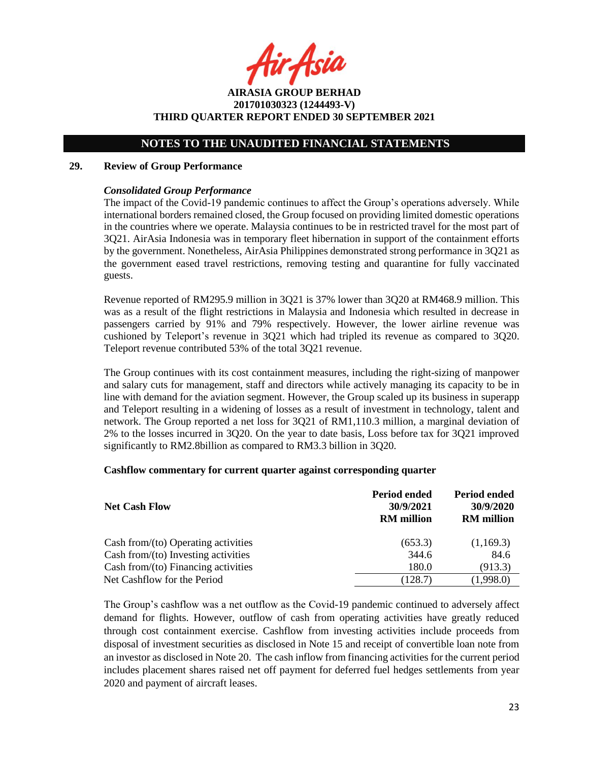r Asia

**AIRASIA GROUP BERHAD 201701030323 (1244493-V) THIRD QUARTER REPORT ENDED 30 SEPTEMBER 2021**

#### **29. Review of Group Performance**

## *Consolidated Group Performance*

The impact of the Covid-19 pandemic continues to affect the Group's operations adversely. While international borders remained closed, the Group focused on providing limited domestic operations in the countries where we operate. Malaysia continues to be in restricted travel for the most part of 3Q21. AirAsia Indonesia was in temporary fleet hibernation in support of the containment efforts by the government. Nonetheless, AirAsia Philippines demonstrated strong performance in 3Q21 as the government eased travel restrictions, removing testing and quarantine for fully vaccinated guests.

Revenue reported of RM295.9 million in 3Q21 is 37% lower than 3Q20 at RM468.9 million. This was as a result of the flight restrictions in Malaysia and Indonesia which resulted in decrease in passengers carried by 91% and 79% respectively. However, the lower airline revenue was cushioned by Teleport's revenue in 3Q21 which had tripled its revenue as compared to 3Q20. Teleport revenue contributed 53% of the total 3Q21 revenue.

The Group continues with its cost containment measures, including the right-sizing of manpower and salary cuts for management, staff and directors while actively managing its capacity to be in line with demand for the aviation segment. However, the Group scaled up its business in superapp and Teleport resulting in a widening of losses as a result of investment in technology, talent and network. The Group reported a net loss for 3Q21 of RM1,110.3 million, a marginal deviation of 2% to the losses incurred in 3Q20. On the year to date basis, Loss before tax for 3Q21 improved significantly to RM2.8billion as compared to RM3.3 billion in 3Q20.

#### **Cashflow commentary for current quarter against corresponding quarter**

| <b>Net Cash Flow</b>                   | Period ended<br>30/9/2021<br><b>RM</b> million | Period ended<br>30/9/2020<br><b>RM</b> million |
|----------------------------------------|------------------------------------------------|------------------------------------------------|
| Cash from/ $(to)$ Operating activities | (653.3)                                        | (1,169.3)                                      |
| Cash from/(to) Investing activities    | 344.6                                          | 84.6                                           |
| Cash from/(to) Financing activities    | 180.0                                          | (913.3)                                        |
| Net Cashflow for the Period            | (128.7)                                        | (1,998.0)                                      |

The Group's cashflow was a net outflow as the Covid-19 pandemic continued to adversely affect demand for flights. However, outflow of cash from operating activities have greatly reduced through cost containment exercise. Cashflow from investing activities include proceeds from disposal of investment securities as disclosed in Note 15 and receipt of convertible loan note from an investor as disclosed in Note 20. The cash inflow from financing activities for the current period includes placement shares raised net off payment for deferred fuel hedges settlements from year 2020 and payment of aircraft leases.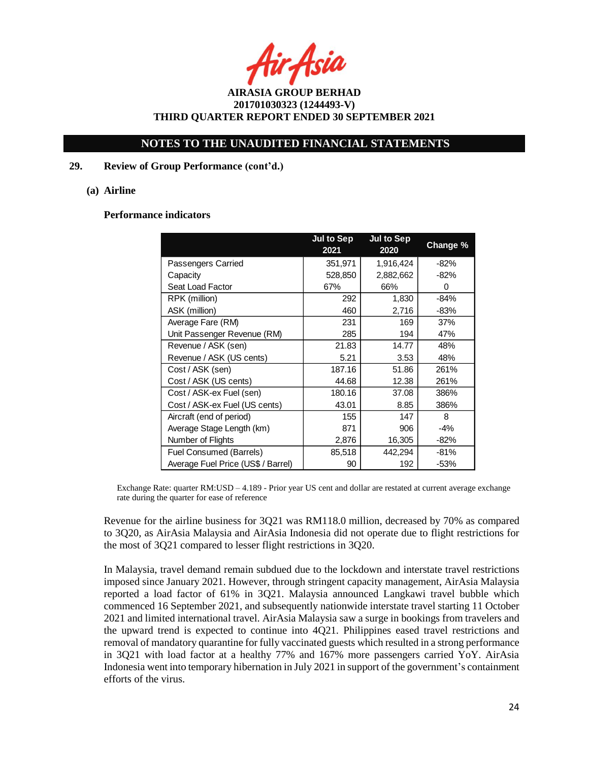r Asia

## **NOTES TO THE UNAUDITED FINANCIAL STATEMENTS**

## **29. Review of Group Performance (cont'd.)**

#### **(a) Airline**

#### **Performance indicators**

|                                    | <b>Jul to Sep</b><br>2021 | <b>Jul to Sep</b><br>2020 | Change <sup>%</sup> |
|------------------------------------|---------------------------|---------------------------|---------------------|
| Passengers Carried                 | 351,971                   | 1,916,424                 | $-82%$              |
| Capacity                           | 528,850                   | 2,882,662                 | -82%                |
| Seat Load Factor                   | 67%                       | 66%                       | 0                   |
| RPK (million)                      | 292                       | 1,830                     | $-84%$              |
| ASK (million)                      | 460                       | 2,716                     | $-83%$              |
| Average Fare (RM)                  | 231                       | 169                       | 37%                 |
| Unit Passenger Revenue (RM)        | 285                       | 194                       | 47%                 |
| Revenue / ASK (sen)                | 21.83                     | 14.77                     | 48%                 |
| Revenue / ASK (US cents)           | 5.21                      | 3.53                      | 48%                 |
| Cost / ASK (sen)                   | 187.16                    | 51.86                     | 261%                |
| Cost / ASK (US cents)              | 44.68                     | 12.38                     | 261%                |
| Cost / ASK-ex Fuel (sen)           | 180.16                    | 37.08                     | 386%                |
| Cost / ASK-ex Fuel (US cents)      | 43.01                     | 8.85                      | 386%                |
| Aircraft (end of period)           | 155                       | 147                       | 8                   |
| Average Stage Length (km)          | 871                       | 906                       | -4%                 |
| Number of Flights                  | 2,876                     | 16,305                    | -82%                |
| Fuel Consumed (Barrels)            | 85,518                    | 442,294                   | $-81%$              |
| Average Fuel Price (US\$ / Barrel) | 90                        | 192                       | $-53%$              |

Exchange Rate: quarter RM:USD – 4.189 - Prior year US cent and dollar are restated at current average exchange rate during the quarter for ease of reference

Revenue for the airline business for 3Q21 was RM118.0 million, decreased by 70% as compared to 3Q20, as AirAsia Malaysia and AirAsia Indonesia did not operate due to flight restrictions for the most of 3Q21 compared to lesser flight restrictions in 3Q20.

In Malaysia, travel demand remain subdued due to the lockdown and interstate travel restrictions imposed since January 2021. However, through stringent capacity management, AirAsia Malaysia reported a load factor of 61% in 3Q21. Malaysia announced Langkawi travel bubble which commenced 16 September 2021, and subsequently nationwide interstate travel starting 11 October 2021 and limited international travel. AirAsia Malaysia saw a surge in bookings from travelers and the upward trend is expected to continue into 4Q21. Philippines eased travel restrictions and removal of mandatory quarantine for fully vaccinated guests which resulted in a strong performance in 3Q21 with load factor at a healthy 77% and 167% more passengers carried YoY. AirAsia Indonesia went into temporary hibernation in July 2021 in support of the government's containment efforts of the virus.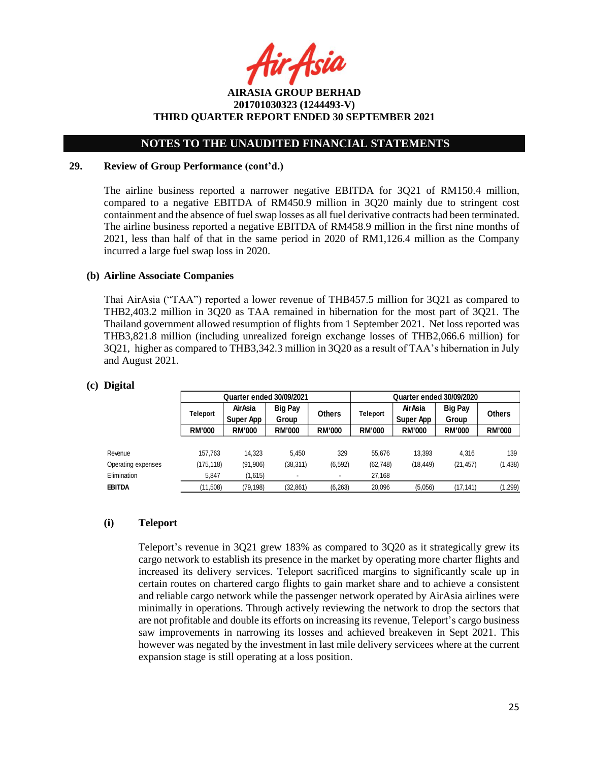r Asia

# **NOTES TO THE UNAUDITED FINANCIAL STATEMENTS**

## **29. Review of Group Performance (cont'd.)**

The airline business reported a narrower negative EBITDA for 3Q21 of RM150.4 million, compared to a negative EBITDA of RM450.9 million in 3Q20 mainly due to stringent cost containment and the absence of fuel swap losses as all fuel derivative contracts had been terminated. The airline business reported a negative EBITDA of RM458.9 million in the first nine months of 2021, less than half of that in the same period in 2020 of RM1,126.4 million as the Company incurred a large fuel swap loss in 2020.

## **(b) Airline Associate Companies**

Thai AirAsia ("TAA") reported a lower revenue of THB457.5 million for 3Q21 as compared to THB2,403.2 million in 3Q20 as TAA remained in hibernation for the most part of 3Q21. The Thailand government allowed resumption of flights from 1 September 2021. Net loss reported was THB3,821.8 million (including unrealized foreign exchange losses of THB2,066.6 million) for 3Q21, higher as compared to THB3,342.3 million in 3Q20 as a result of TAA's hibernation in July and August 2021.

|                    | <b>Quarter ended 30/09/2021</b> |                                                                  |                 | Quarter ended 30/09/2020     |                         |               |               |               |
|--------------------|---------------------------------|------------------------------------------------------------------|-----------------|------------------------------|-------------------------|---------------|---------------|---------------|
|                    | Teleport                        | AirAsia<br><b>Big Pay</b><br><b>Others</b><br>Super App<br>Group | <b>Teleport</b> | <b>Air Asia</b><br>Super App | <b>Big Pay</b><br>Group | <b>Others</b> |               |               |
|                    | <b>RM'000</b>                   | <b>RM'000</b>                                                    | <b>RM'000</b>   | <b>RM'000</b>                | <b>RM'000</b>           | <b>RM'000</b> | <b>RM'000</b> | <b>RM'000</b> |
| Revenue            | 157,763                         | 14.323                                                           | 5.450           | 329                          | 55,676                  | 13,393        | 4.316         | 139           |
| Operating expenses | (175,118)                       | (91, 906)                                                        | (38, 311)       | (6, 592)                     | (62, 748)               | (18, 449)     | (21, 457)     | (1, 438)      |
| Elimination        | 5,847                           | (1,615)                                                          |                 | $\overline{\phantom{a}}$     | 27,168                  |               |               |               |
| EBITDA             | (11, 508)                       | (79,198)                                                         | (32, 861)       | (6, 263)                     | 20,096                  | (5,056)       | (17, 141)     | (1, 299)      |

#### **(c) Digital**

## **(i) Teleport**

Teleport's revenue in 3Q21 grew 183% as compared to 3Q20 as it strategically grew its cargo network to establish its presence in the market by operating more charter flights and increased its delivery services. Teleport sacrificed margins to significantly scale up in certain routes on chartered cargo flights to gain market share and to achieve a consistent and reliable cargo network while the passenger network operated by AirAsia airlines were minimally in operations. Through actively reviewing the network to drop the sectors that are not profitable and double its efforts on increasing its revenue, Teleport's cargo business saw improvements in narrowing its losses and achieved breakeven in Sept 2021. This however was negated by the investment in last mile delivery servicees where at the current expansion stage is still operating at a loss position.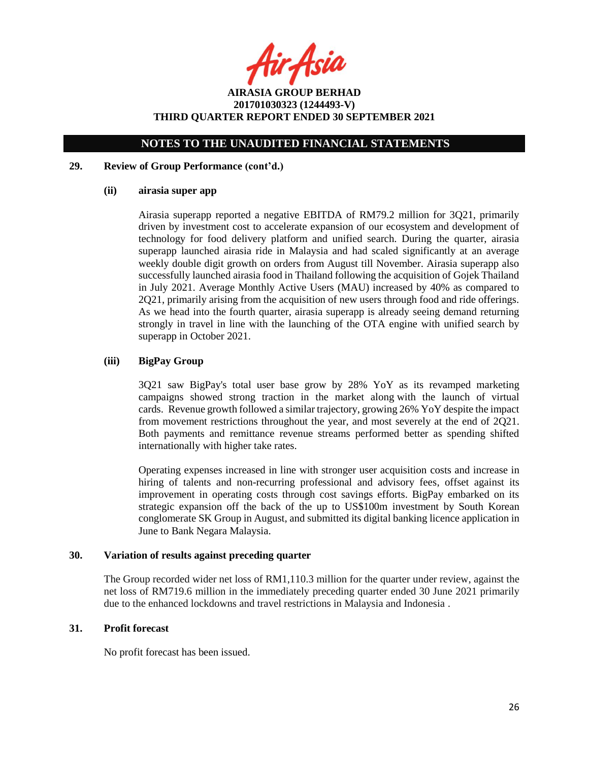fir<sub>i</sub>Asia

**AIRASIA GROUP BERHAD 201701030323 (1244493-V) THIRD QUARTER REPORT ENDED 30 SEPTEMBER 2021**

## **29. Review of Group Performance (cont'd.)**

### **(ii) airasia super app**

Airasia superapp reported a negative EBITDA of RM79.2 million for 3Q21, primarily driven by investment cost to accelerate expansion of our ecosystem and development of technology for food delivery platform and unified search. During the quarter, airasia superapp launched airasia ride in Malaysia and had scaled significantly at an average weekly double digit growth on orders from August till November. Airasia superapp also successfully launched airasia food in Thailand following the acquisition of Gojek Thailand in July 2021. Average Monthly Active Users (MAU) increased by 40% as compared to 2Q21, primarily arising from the acquisition of new users through food and ride offerings. As we head into the fourth quarter, airasia superapp is already seeing demand returning strongly in travel in line with the launching of the OTA engine with unified search by superapp in October 2021.

## **(iii) BigPay Group**

3Q21 saw BigPay's total user base grow by 28% YoY as its revamped marketing campaigns showed strong traction in the market along with the launch of virtual cards. Revenue growth followed a similar trajectory, growing 26% YoY despite the impact from movement restrictions throughout the year, and most severely at the end of 2Q21. Both payments and remittance revenue streams performed better as spending shifted internationally with higher take rates.

Operating expenses increased in line with stronger user acquisition costs and increase in hiring of talents and non-recurring professional and advisory fees, offset against its improvement in operating costs through cost savings efforts. BigPay embarked on its strategic expansion off the back of the up to US\$100m investment by South Korean conglomerate SK Group in August, and submitted its digital banking licence application in June to Bank Negara Malaysia.

## **30. Variation of results against preceding quarter**

The Group recorded wider net loss of RM1,110.3 million for the quarter under review, against the net loss of RM719.6 million in the immediately preceding quarter ended 30 June 2021 primarily due to the enhanced lockdowns and travel restrictions in Malaysia and Indonesia .

### **31. Profit forecast**

No profit forecast has been issued.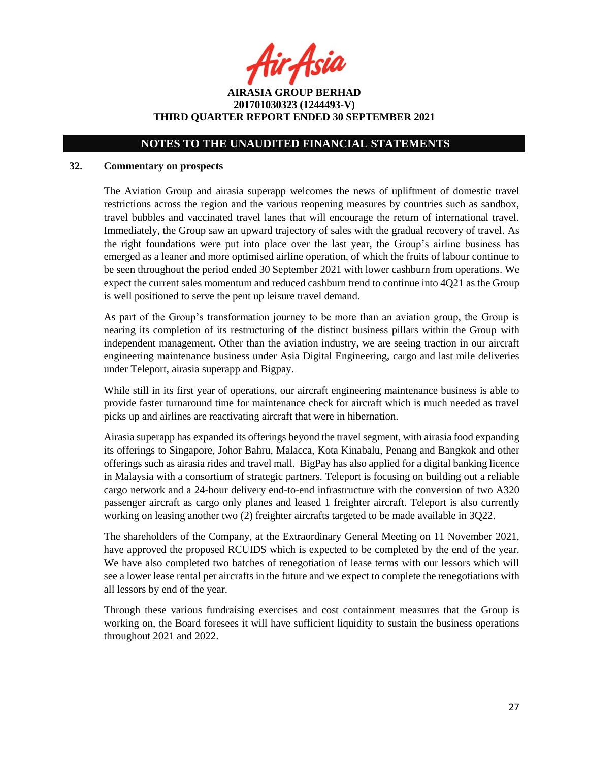fir Asia

**AIRASIA GROUP BERHAD 201701030323 (1244493-V) THIRD QUARTER REPORT ENDED 30 SEPTEMBER 2021**

## **32. Commentary on prospects**

The Aviation Group and airasia superapp welcomes the news of upliftment of domestic travel restrictions across the region and the various reopening measures by countries such as sandbox, travel bubbles and vaccinated travel lanes that will encourage the return of international travel. Immediately, the Group saw an upward trajectory of sales with the gradual recovery of travel. As the right foundations were put into place over the last year, the Group's airline business has emerged as a leaner and more optimised airline operation, of which the fruits of labour continue to be seen throughout the period ended 30 September 2021 with lower cashburn from operations. We expect the current sales momentum and reduced cashburn trend to continue into 4Q21 as the Group is well positioned to serve the pent up leisure travel demand.

As part of the Group's transformation journey to be more than an aviation group, the Group is nearing its completion of its restructuring of the distinct business pillars within the Group with independent management. Other than the aviation industry, we are seeing traction in our aircraft engineering maintenance business under Asia Digital Engineering, cargo and last mile deliveries under Teleport, airasia superapp and Bigpay.

While still in its first year of operations, our aircraft engineering maintenance business is able to provide faster turnaround time for maintenance check for aircraft which is much needed as travel picks up and airlines are reactivating aircraft that were in hibernation.

Airasia superapp has expanded its offerings beyond the travel segment, with airasia food expanding its offerings to Singapore, Johor Bahru, Malacca, Kota Kinabalu, Penang and Bangkok and other offerings such as airasia rides and travel mall. BigPay has also applied for a digital banking licence in Malaysia with a consortium of strategic partners. Teleport is focusing on building out a reliable cargo network and a 24-hour delivery end-to-end infrastructure with the conversion of two A320 passenger aircraft as cargo only planes and leased 1 freighter aircraft. Teleport is also currently working on leasing another two (2) freighter aircrafts targeted to be made available in 3Q22.

The shareholders of the Company, at the Extraordinary General Meeting on 11 November 2021, have approved the proposed RCUIDS which is expected to be completed by the end of the year. We have also completed two batches of renegotiation of lease terms with our lessors which will see a lower lease rental per aircrafts in the future and we expect to complete the renegotiations with all lessors by end of the year.

Through these various fundraising exercises and cost containment measures that the Group is working on, the Board foresees it will have sufficient liquidity to sustain the business operations throughout 2021 and 2022.